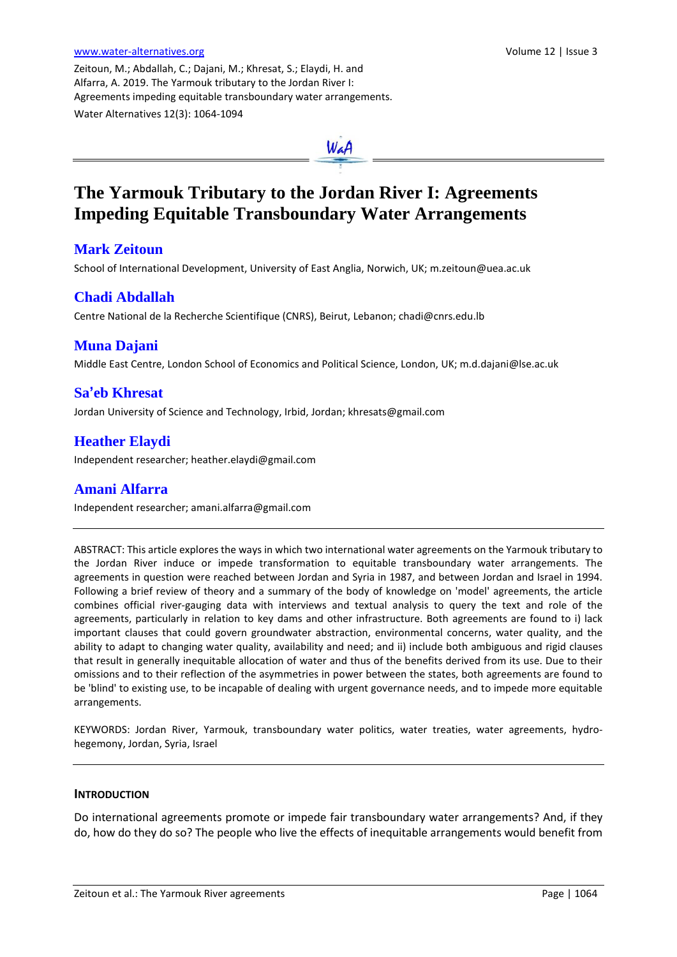Zeitoun, M.; Abdallah, C.; Dajani, M.; Khresat, S.; Elaydi, H. and Alfarra, A. 2019. The Yarmouk tributary to the Jordan River I: Agreements impeding equitable transboundary water arrangements. Water Alternatives 12(3): 1064-1094



# **The Yarmouk Tributary to the Jordan River I: Agreements Impeding Equitable Transboundary Water Arrangements**

# **Mark Zeitoun**

School of International Development, University of East Anglia, Norwich, UK; m.zeitoun@uea.ac.uk

# **Chadi Abdallah**

Centre National de la Recherche Scientifique (CNRS), Beirut, Lebanon; chadi@cnrs.edu.lb

# **Muna Dajani**

Middle East Centre, London School of Economics and Political Science, London, UK; m.d.dajani@lse.ac.uk

# **Sa'eb Khresat**

Jordan University of Science and Technology, Irbid, Jordan; khresats@gmail.com

# **Heather Elaydi**

Independent researcher; heather.elaydi@gmail.com

# **Amani Alfarra**

Independent researcher; amani.alfarra@gmail.com

ABSTRACT: This article explores the ways in which two international water agreements on the Yarmouk tributary to the Jordan River induce or impede transformation to equitable transboundary water arrangements. The agreements in question were reached between Jordan and Syria in 1987, and between Jordan and Israel in 1994. Following a brief review of theory and a summary of the body of knowledge on 'model' agreements, the article combines official river-gauging data with interviews and textual analysis to query the text and role of the agreements, particularly in relation to key dams and other infrastructure. Both agreements are found to i) lack important clauses that could govern groundwater abstraction, environmental concerns, water quality, and the ability to adapt to changing water quality, availability and need; and ii) include both ambiguous and rigid clauses that result in generally inequitable allocation of water and thus of the benefits derived from its use. Due to their omissions and to their reflection of the asymmetries in power between the states, both agreements are found to be 'blind' to existing use, to be incapable of dealing with urgent governance needs, and to impede more equitable arrangements.

KEYWORDS: Jordan River, Yarmouk, transboundary water politics, water treaties, water agreements, hydrohegemony, Jordan, Syria, Israel

#### **INTRODUCTION**

Do international agreements promote or impede fair transboundary water arrangements? And, if they do, how do they do so? The people who live the effects of inequitable arrangements would benefit from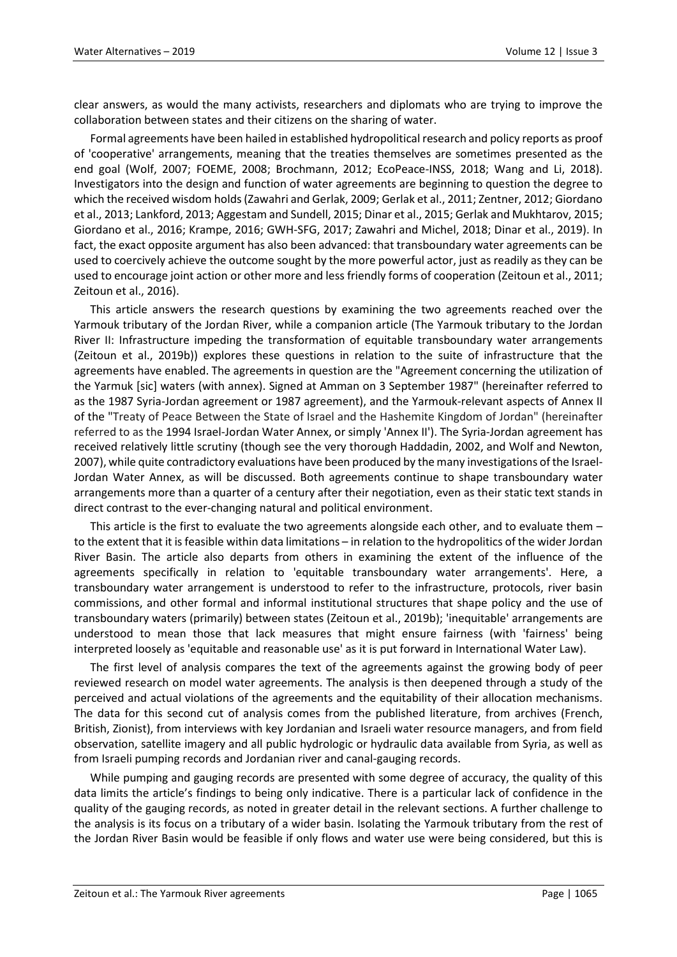clear answers, as would the many activists, researchers and diplomats who are trying to improve the collaboration between states and their citizens on the sharing of water.

Formal agreements have been hailed in established hydropolitical research and policy reports as proof of 'cooperative' arrangements, meaning that the treaties themselves are sometimes presented as the end goal (Wolf, 2007; FOEME, 2008; Brochmann, 2012; EcoPeace-INSS, 2018; Wang and Li, 2018). Investigators into the design and function of water agreements are beginning to question the degree to which the received wisdom holds (Zawahri and Gerlak, 2009; Gerlak et al., 2011; Zentner, 2012; Giordano et al., 2013; Lankford, 2013; Aggestam and Sundell, 2015; Dinar et al., 2015; Gerlak and Mukhtarov, 2015; Giordano et al., 2016; Krampe, 2016; GWH-SFG, 2017; Zawahri and Michel, 2018; Dinar et al., 2019). In fact, the exact opposite argument has also been advanced: that transboundary water agreements can be used to coercively achieve the outcome sought by the more powerful actor, just as readily as they can be used to encourage joint action or other more and less friendly forms of cooperation (Zeitoun et al., 2011; Zeitoun et al., 2016).

This article answers the research questions by examining the two agreements reached over the Yarmouk tributary of the Jordan River, while a companion article (The Yarmouk tributary to the Jordan River II: Infrastructure impeding the transformation of equitable transboundary water arrangements (Zeitoun et al., 2019b)) explores these questions in relation to the suite of infrastructure that the agreements have enabled. The agreements in question are the "Agreement concerning the utilization of the Yarmuk [sic] waters (with annex). Signed at Amman on 3 September 1987" (hereinafter referred to as the 1987 Syria-Jordan agreement or 1987 agreement), and the Yarmouk-relevant aspects of Annex II of the "Treaty of Peace Between the State of Israel and the Hashemite Kingdom of Jordan" (hereinafter referred to as the 1994 Israel-Jordan Water Annex, or simply 'Annex II'). The Syria-Jordan agreement has received relatively little scrutiny (though see the very thorough Haddadin, 2002, and Wolf and Newton, 2007), while quite contradictory evaluations have been produced by the many investigations of the Israel-Jordan Water Annex, as will be discussed. Both agreements continue to shape transboundary water arrangements more than a quarter of a century after their negotiation, even as their static text stands in direct contrast to the ever-changing natural and political environment.

This article is the first to evaluate the two agreements alongside each other, and to evaluate them to the extent that it is feasible within data limitations – in relation to the hydropolitics of the wider Jordan River Basin. The article also departs from others in examining the extent of the influence of the agreements specifically in relation to 'equitable transboundary water arrangements'. Here, a transboundary water arrangement is understood to refer to the infrastructure, protocols, river basin commissions, and other formal and informal institutional structures that shape policy and the use of transboundary waters (primarily) between states (Zeitoun et al., 2019b); 'inequitable' arrangements are understood to mean those that lack measures that might ensure fairness (with 'fairness' being interpreted loosely as 'equitable and reasonable use' as it is put forward in International Water Law).

The first level of analysis compares the text of the agreements against the growing body of peer reviewed research on model water agreements. The analysis is then deepened through a study of the perceived and actual violations of the agreements and the equitability of their allocation mechanisms. The data for this second cut of analysis comes from the published literature, from archives (French, British, Zionist), from interviews with key Jordanian and Israeli water resource managers, and from field observation, satellite imagery and all public hydrologic or hydraulic data available from Syria, as well as from Israeli pumping records and Jordanian river and canal-gauging records.

While pumping and gauging records are presented with some degree of accuracy, the quality of this data limits the article's findings to being only indicative. There is a particular lack of confidence in the quality of the gauging records, as noted in greater detail in the relevant sections. A further challenge to the analysis is its focus on a tributary of a wider basin. Isolating the Yarmouk tributary from the rest of the Jordan River Basin would be feasible if only flows and water use were being considered, but this is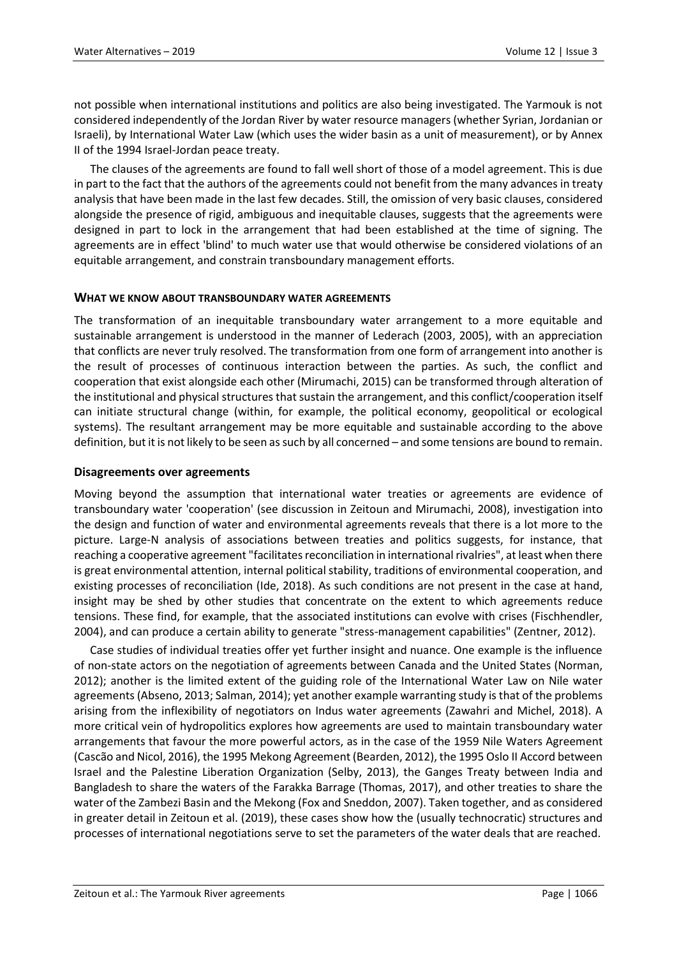not possible when international institutions and politics are also being investigated. The Yarmouk is not considered independently of the Jordan River by water resource managers (whether Syrian, Jordanian or Israeli), by International Water Law (which uses the wider basin as a unit of measurement), or by Annex II of the 1994 Israel-Jordan peace treaty.

The clauses of the agreements are found to fall well short of those of a model agreement. This is due in part to the fact that the authors of the agreements could not benefit from the many advances in treaty analysis that have been made in the last few decades. Still, the omission of very basic clauses, considered alongside the presence of rigid, ambiguous and inequitable clauses, suggests that the agreements were designed in part to lock in the arrangement that had been established at the time of signing. The agreements are in effect 'blind' to much water use that would otherwise be considered violations of an equitable arrangement, and constrain transboundary management efforts.

#### **WHAT WE KNOW ABOUT TRANSBOUNDARY WATER AGREEMENTS**

The transformation of an inequitable transboundary water arrangement to a more equitable and sustainable arrangement is understood in the manner of Lederach (2003, 2005), with an appreciation that conflicts are never truly resolved. The transformation from one form of arrangement into another is the result of processes of continuous interaction between the parties. As such, the conflict and cooperation that exist alongside each other (Mirumachi, 2015) can be transformed through alteration of the institutional and physical structures that sustain the arrangement, and this conflict/cooperation itself can initiate structural change (within, for example, the political economy, geopolitical or ecological systems). The resultant arrangement may be more equitable and sustainable according to the above definition, but it is not likely to be seen as such by all concerned – and some tensions are bound to remain.

#### **Disagreements over agreements**

Moving beyond the assumption that international water treaties or agreements are evidence of transboundary water 'cooperation' (see discussion in Zeitoun and Mirumachi, 2008), investigation into the design and function of water and environmental agreements reveals that there is a lot more to the picture. Large-N analysis of associations between treaties and politics suggests, for instance, that reaching a cooperative agreement "facilitates reconciliation in international rivalries", at least when there is great environmental attention, internal political stability, traditions of environmental cooperation, and existing processes of reconciliation (Ide, 2018). As such conditions are not present in the case at hand, insight may be shed by other studies that concentrate on the extent to which agreements reduce tensions. These find, for example, that the associated institutions can evolve with crises (Fischhendler, 2004), and can produce a certain ability to generate "stress-management capabilities" (Zentner, 2012).

Case studies of individual treaties offer yet further insight and nuance. One example is the influence of non-state actors on the negotiation of agreements between Canada and the United States (Norman, 2012); another is the limited extent of the guiding role of the International Water Law on Nile water agreements (Abseno, 2013; Salman, 2014); yet another example warranting study isthat of the problems arising from the inflexibility of negotiators on Indus water agreements (Zawahri and Michel, 2018). A more critical vein of hydropolitics explores how agreements are used to maintain transboundary water arrangements that favour the more powerful actors, as in the case of the 1959 Nile Waters Agreement (Cascão and Nicol, 2016), the 1995 Mekong Agreement (Bearden, 2012), the 1995 Oslo II Accord between Israel and the Palestine Liberation Organization (Selby, 2013), the Ganges Treaty between India and Bangladesh to share the waters of the Farakka Barrage (Thomas, 2017), and other treaties to share the water of the Zambezi Basin and the Mekong (Fox and Sneddon, 2007). Taken together, and as considered in greater detail in Zeitoun et al. (2019), these cases show how the (usually technocratic) structures and processes of international negotiations serve to set the parameters of the water deals that are reached.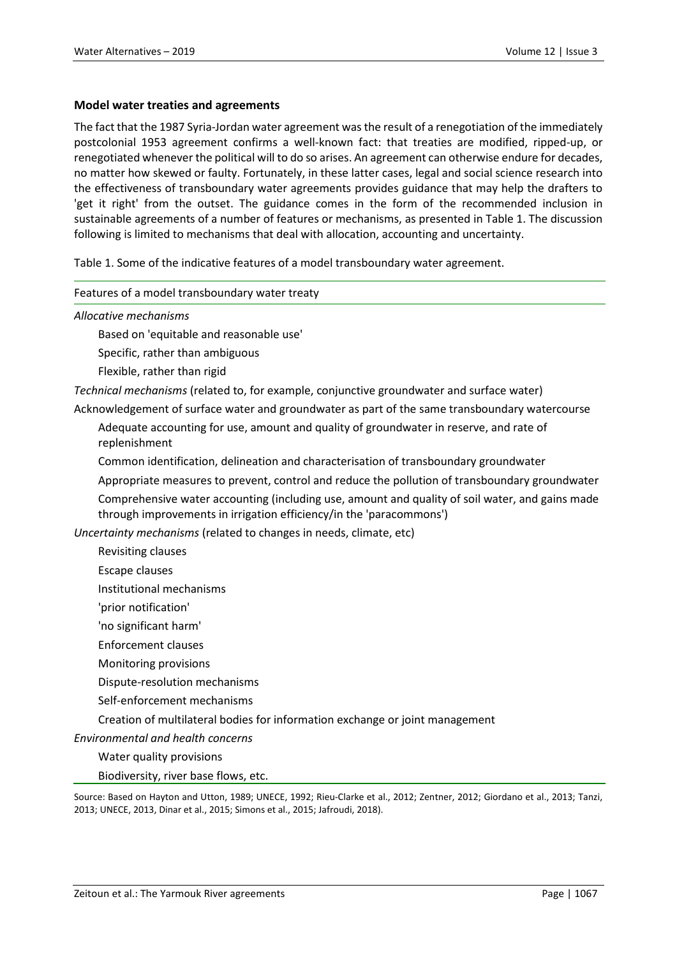#### **Model water treaties and agreements**

The fact that the 1987 Syria-Jordan water agreement was the result of a renegotiation of the immediately postcolonial 1953 agreement confirms a well-known fact: that treaties are modified, ripped-up, or renegotiated whenever the political will to do so arises. An agreement can otherwise endure for decades, no matter how skewed or faulty. Fortunately, in these latter cases, legal and social science research into the effectiveness of transboundary water agreements provides guidance that may help the drafters to 'get it right' from the outset. The guidance comes in the form of the recommended inclusion in sustainable agreements of a number of features or mechanisms, as presented in Table 1. The discussion following is limited to mechanisms that deal with allocation, accounting and uncertainty.

Table 1. Some of the indicative features of a model transboundary water agreement.

#### Features of a model transboundary water treaty

*Allocative mechanisms*

Based on 'equitable and reasonable use'

Specific, rather than ambiguous

Flexible, rather than rigid

*Technical mechanisms* (related to, for example, conjunctive groundwater and surface water)

Acknowledgement of surface water and groundwater as part of the same transboundary watercourse

Adequate accounting for use, amount and quality of groundwater in reserve, and rate of replenishment

Common identification, delineation and characterisation of transboundary groundwater

Appropriate measures to prevent, control and reduce the pollution of transboundary groundwater Comprehensive water accounting (including use, amount and quality of soil water, and gains made through improvements in irrigation efficiency/in the 'paracommons')

*Uncertainty mechanisms* (related to changes in needs, climate, etc)

- Revisiting clauses
- Escape clauses

Institutional mechanisms

- 'prior notification'
- 'no significant harm'
- Enforcement clauses
- Monitoring provisions

Dispute-resolution mechanisms

Self-enforcement mechanisms

Creation of multilateral bodies for information exchange or joint management

*Environmental and health concerns*

Water quality provisions

Biodiversity, river base flows, etc.

Source: Based on Hayton and Utton, 1989; UNECE, 1992; Rieu-Clarke et al., 2012; Zentner, 2012; Giordano et al., 2013; Tanzi, 2013; UNECE, 2013, Dinar et al., 2015; Simons et al., 2015; Jafroudi, 2018).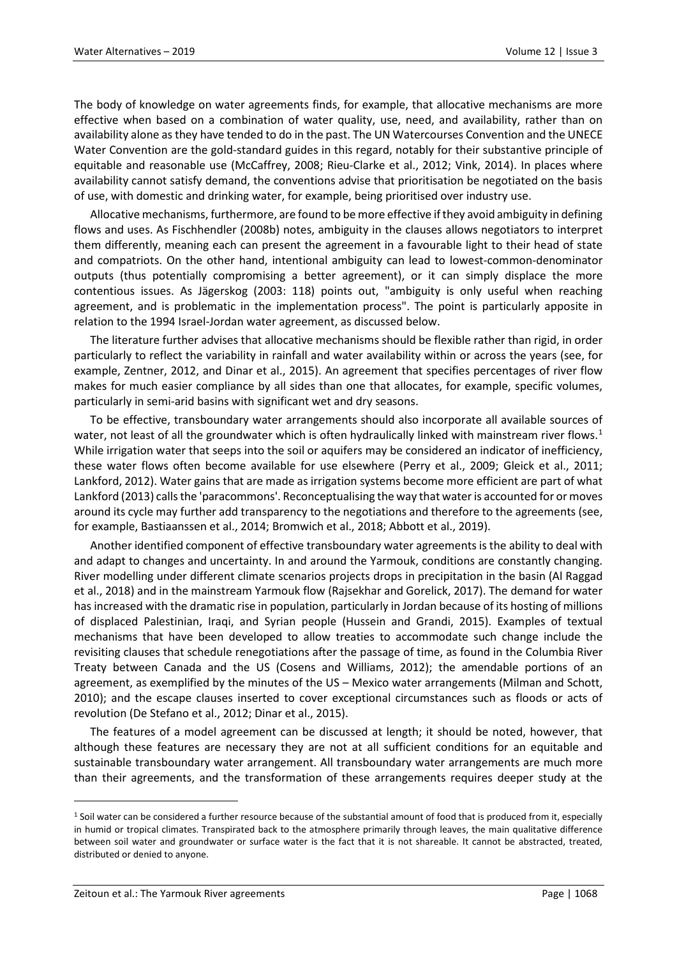The body of knowledge on water agreements finds, for example, that allocative mechanisms are more effective when based on a combination of water quality, use, need, and availability, rather than on availability alone as they have tended to do in the past. The UN Watercourses Convention and the UNECE Water Convention are the gold-standard guides in this regard, notably for their substantive principle of equitable and reasonable use (McCaffrey, 2008; Rieu-Clarke et al., 2012; Vink, 2014). In places where availability cannot satisfy demand, the conventions advise that prioritisation be negotiated on the basis of use, with domestic and drinking water, for example, being prioritised over industry use.

Allocative mechanisms, furthermore, are found to be more effective if they avoid ambiguity in defining flows and uses. As Fischhendler (2008b) notes, ambiguity in the clauses allows negotiators to interpret them differently, meaning each can present the agreement in a favourable light to their head of state and compatriots. On the other hand, intentional ambiguity can lead to lowest-common-denominator outputs (thus potentially compromising a better agreement), or it can simply displace the more contentious issues. As Jägerskog (2003: 118) points out, "ambiguity is only useful when reaching agreement, and is problematic in the implementation process". The point is particularly apposite in relation to the 1994 Israel-Jordan water agreement, as discussed below.

The literature further advises that allocative mechanisms should be flexible rather than rigid, in order particularly to reflect the variability in rainfall and water availability within or across the years (see, for example, Zentner, 2012, and Dinar et al., 2015). An agreement that specifies percentages of river flow makes for much easier compliance by all sides than one that allocates, for example, specific volumes, particularly in semi-arid basins with significant wet and dry seasons.

To be effective, transboundary water arrangements should also incorporate all available sources of water, not least of all the groundwater which is often hydraulically linked with mainstream river flows.<sup>[1](#page-4-0)</sup> While irrigation water that seeps into the soil or aquifers may be considered an indicator of inefficiency, these water flows often become available for use elsewhere (Perry et al., 2009; Gleick et al., 2011; Lankford, 2012). Water gains that are made as irrigation systems become more efficient are part of what Lankford (2013) calls the 'paracommons'. Reconceptualising the way that water is accounted for or moves around its cycle may further add transparency to the negotiations and therefore to the agreements (see, for example, Bastiaanssen et al., 2014; Bromwich et al., 2018; Abbott et al., 2019).

Another identified component of effective transboundary water agreements is the ability to deal with and adapt to changes and uncertainty. In and around the Yarmouk, conditions are constantly changing. River modelling under different climate scenarios projects drops in precipitation in the basin (Al Raggad et al., 2018) and in the mainstream Yarmouk flow (Rajsekhar and Gorelick, 2017). The demand for water has increased with the dramatic rise in population, particularly in Jordan because of its hosting of millions of displaced Palestinian, Iraqi, and Syrian people (Hussein and Grandi, 2015). Examples of textual mechanisms that have been developed to allow treaties to accommodate such change include the revisiting clauses that schedule renegotiations after the passage of time, as found in the Columbia River Treaty between Canada and the US (Cosens and Williams, 2012); the amendable portions of an agreement, as exemplified by the minutes of the US – Mexico water arrangements (Milman and Schott, 2010); and the escape clauses inserted to cover exceptional circumstances such as floods or acts of revolution (De Stefano et al., 2012; Dinar et al., 2015).

The features of a model agreement can be discussed at length; it should be noted, however, that although these features are necessary they are not at all sufficient conditions for an equitable and sustainable transboundary water arrangement. All transboundary water arrangements are much more than their agreements, and the transformation of these arrangements requires deeper study at the

<span id="page-4-0"></span> $1$  Soil water can be considered a further resource because of the substantial amount of food that is produced from it, especially in humid or tropical climates. Transpirated back to the atmosphere primarily through leaves, the main qualitative difference between soil water and groundwater or surface water is the fact that it is not shareable. It cannot be abstracted, treated, distributed or denied to anyone.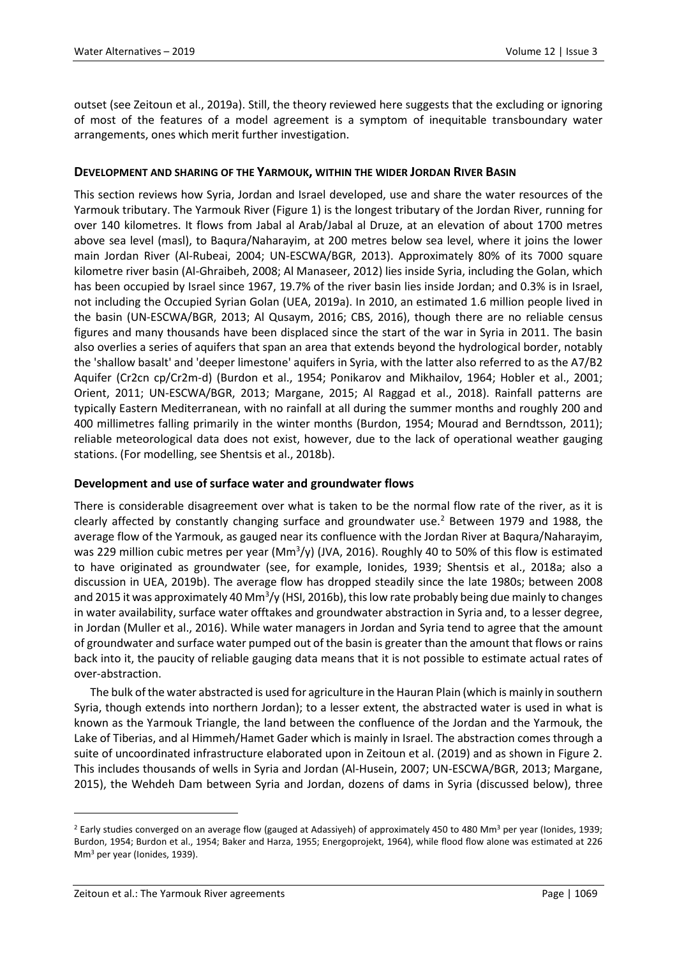outset (see Zeitoun et al., 2019a). Still, the theory reviewed here suggests that the excluding or ignoring of most of the features of a model agreement is a symptom of inequitable transboundary water arrangements, ones which merit further investigation.

## **DEVELOPMENT AND SHARING OF THE YARMOUK, WITHIN THE WIDER JORDAN RIVER BASIN**

This section reviews how Syria, Jordan and Israel developed, use and share the water resources of the Yarmouk tributary. The Yarmouk River (Figure 1) is the longest tributary of the Jordan River, running for over 140 kilometres. It flows from Jabal al Arab/Jabal al Druze, at an elevation of about 1700 metres above sea level (masl), to Baqura/Naharayim, at 200 metres below sea level, where it joins the lower main Jordan River (Al-Rubeai, 2004; UN-ESCWA/BGR, 2013). Approximately 80% of its 7000 square kilometre river basin (Al-Ghraibeh, 2008; Al Manaseer, 2012) lies inside Syria, including the Golan, which has been occupied by Israel since 1967, 19.7% of the river basin lies inside Jordan; and 0.3% is in Israel, not including the Occupied Syrian Golan (UEA, 2019a). In 2010, an estimated 1.6 million people lived in the basin (UN-ESCWA/BGR, 2013; Al Qusaym, 2016; CBS, 2016), though there are no reliable census figures and many thousands have been displaced since the start of the war in Syria in 2011. The basin also overlies a series of aquifers that span an area that extends beyond the hydrological border, notably the 'shallow basalt' and 'deeper limestone' aquifers in Syria, with the latter also referred to as the A7/B2 Aquifer (Cr2cn cp/Cr2m-d) (Burdon et al., 1954; Ponikarov and Mikhailov, 1964; Hobler et al., 2001; Orient, 2011; UN-ESCWA/BGR, 2013; Margane, 2015; Al Raggad et al., 2018). Rainfall patterns are typically Eastern Mediterranean, with no rainfall at all during the summer months and roughly 200 and 400 millimetres falling primarily in the winter months (Burdon, 1954; Mourad and Berndtsson, 2011); reliable meteorological data does not exist, however, due to the lack of operational weather gauging stations. (For modelling, see Shentsis et al., 2018b).

#### **Development and use of surface water and groundwater flows**

There is considerable disagreement over what is taken to be the normal flow rate of the river, as it is clearly affected by constantly changing surface and groundwater use.<sup>[2](#page-5-0)</sup> Between 1979 and 1988, the average flow of the Yarmouk, as gauged near its confluence with the Jordan River at Baqura/Naharayim, was 229 million cubic metres per year (Mm<sup>3</sup>/y) (JVA, 2016). Roughly 40 to 50% of this flow is estimated to have originated as groundwater (see, for example, Ionides, 1939; Shentsis et al., 2018a; also a discussion in UEA, 2019b). The average flow has dropped steadily since the late 1980s; between 2008 and 2015 it was approximately 40 Mm<sup>3</sup>/y (HSI, 2016b), this low rate probably being due mainly to changes in water availability, surface water offtakes and groundwater abstraction in Syria and, to a lesser degree, in Jordan (Muller et al., 2016). While water managers in Jordan and Syria tend to agree that the amount of groundwater and surface water pumped out of the basin is greater than the amount that flows or rains back into it, the paucity of reliable gauging data means that it is not possible to estimate actual rates of over-abstraction.

The bulk of the water abstracted is used for agriculture in the Hauran Plain (which is mainly in southern Syria, though extends into northern Jordan); to a lesser extent, the abstracted water is used in what is known as the Yarmouk Triangle, the land between the confluence of the Jordan and the Yarmouk, the Lake of Tiberias, and al Himmeh/Hamet Gader which is mainly in Israel. The abstraction comes through a suite of uncoordinated infrastructure elaborated upon in Zeitoun et al. (2019) and as shown in Figure 2. This includes thousands of wells in Syria and Jordan (Al-Husein, 2007; UN-ESCWA/BGR, 2013; Margane, 2015), the Wehdeh Dam between Syria and Jordan, dozens of dams in Syria (discussed below), three

<span id="page-5-0"></span><sup>&</sup>lt;sup>2</sup> Early studies converged on an average flow (gauged at Adassiyeh) of approximately 450 to 480 Mm<sup>3</sup> per year (Ionides, 1939; Burdon, 1954; Burdon et al., 1954; Baker and Harza, 1955; Energoprojekt, 1964), while flood flow alone was estimated at 226 Mm3 per year (Ionides, 1939).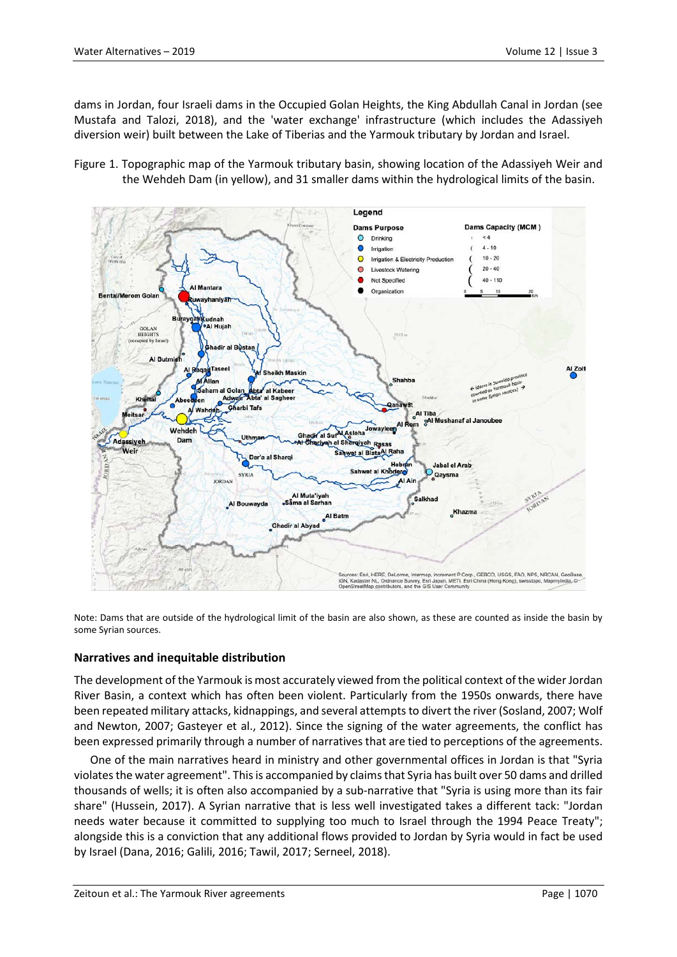dams in Jordan, four Israeli dams in the Occupied Golan Heights, the King Abdullah Canal in Jordan (see Mustafa and Talozi, 2018), and the 'water exchange' infrastructure (which includes the Adassiyeh diversion weir) built between the Lake of Tiberias and the Yarmouk tributary by Jordan and Israel.

Figure 1. Topographic map of the Yarmouk tributary basin, showing location of the Adassiyeh Weir and the Wehdeh Dam (in yellow), and 31 smaller dams within the hydrological limits of the basin.



Note: Dams that are outside of the hydrological limit of the basin are also shown, as these are counted as inside the basin by some Syrian sources.

#### **Narratives and inequitable distribution**

The development of the Yarmouk is most accurately viewed from the political context of the wider Jordan River Basin, a context which has often been violent. Particularly from the 1950s onwards, there have been repeated military attacks, kidnappings, and several attempts to divert the river (Sosland, 2007; Wolf and Newton, 2007; Gasteyer et al., 2012). Since the signing of the water agreements, the conflict has been expressed primarily through a number of narratives that are tied to perceptions of the agreements.

One of the main narratives heard in ministry and other governmental offices in Jordan is that "Syria violates the water agreement". This is accompanied by claims that Syria has built over 50 dams and drilled thousands of wells; it is often also accompanied by a sub-narrative that "Syria is using more than its fair share" (Hussein, 2017). A Syrian narrative that is less well investigated takes a different tack: "Jordan needs water because it committed to supplying too much to Israel through the 1994 Peace Treaty"; alongside this is a conviction that any additional flows provided to Jordan by Syria would in fact be used by Israel (Dana, 2016; Galili, 2016; Tawil, 2017; Serneel, 2018).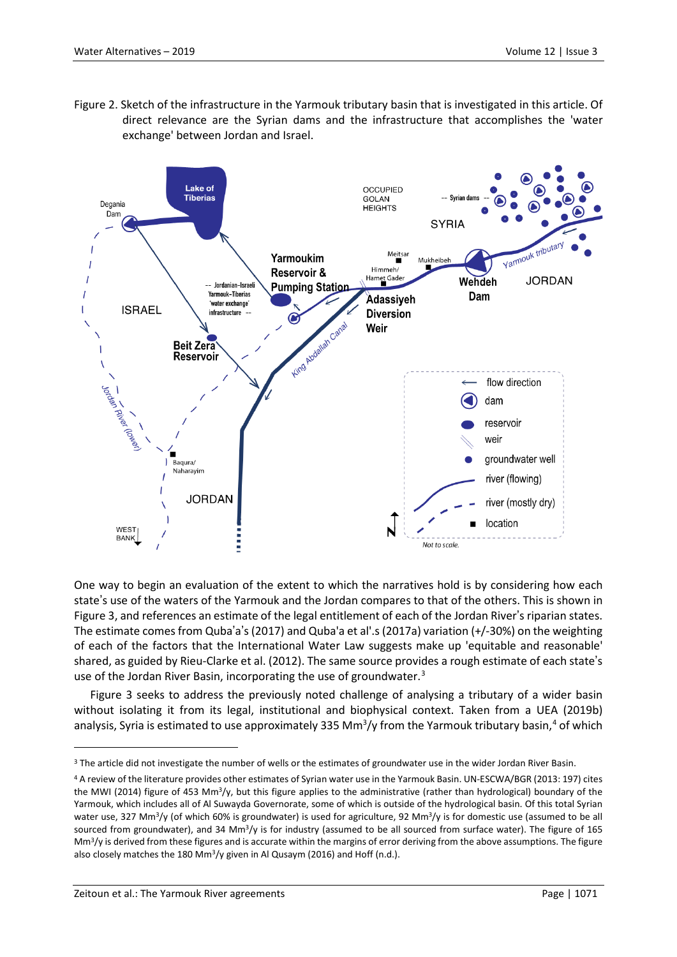Figure 2. Sketch of the infrastructure in the Yarmouk tributary basin that is investigated in this article. Of direct relevance are the Syrian dams and the infrastructure that accomplishes the 'water exchange' between Jordan and Israel.



One way to begin an evaluation of the extent to which the narratives hold is by considering how each state's use of the waters of the Yarmouk and the Jordan compares to that of the others. This is shown in Figure 3, and references an estimate of the legal entitlement of each of the Jordan River's riparian states. The estimate comes from Quba'a's (2017) and Quba'a et al'.s (2017a) variation (+/-30%) on the weighting of each of the factors that the International Water Law suggests make up 'equitable and reasonable' shared, as guided by Rieu-Clarke et al. (2012). The same source provides a rough estimate of each state's use of the Jordan River Basin, incorporating the use of groundwater.<sup>[3](#page-7-0)</sup>

Figure 3 seeks to address the previously noted challenge of analysing a tributary of a wider basin without isolating it from its legal, institutional and biophysical context. Taken from a UEA (2019b) analysis, Syria is estimated to use approximately 335 Mm<sup>3</sup>/y from the Yarmouk tributary basin,<sup>[4](#page-7-1)</sup> of which

<span id="page-7-0"></span><sup>&</sup>lt;sup>3</sup> The article did not investigate the number of wells or the estimates of groundwater use in the wider Jordan River Basin.

<span id="page-7-1"></span><sup>4</sup> A review of the literature provides other estimates of Syrian water use in the Yarmouk Basin. UN-ESCWA/BGR (2013: 197) cites the MWI (2014) figure of 453 Mm<sup>3</sup>/y, but this figure applies to the administrative (rather than hydrological) boundary of the Yarmouk, which includes all of Al Suwayda Governorate, some of which is outside of the hydrological basin. Of this total Syrian water use, 327 Mm<sup>3</sup>/y (of which 60% is groundwater) is used for agriculture, 92 Mm<sup>3</sup>/y is for domestic use (assumed to be all sourced from groundwater), and 34 Mm<sup>3</sup>/y is for industry (assumed to be all sourced from surface water). The figure of 165  $\text{Mm}^3$ /y is derived from these figures and is accurate within the margins of error deriving from the above assumptions. The figure also closely matches the 180 Mm3/y given in Al Qusaym (2016) and Hoff (n.d.).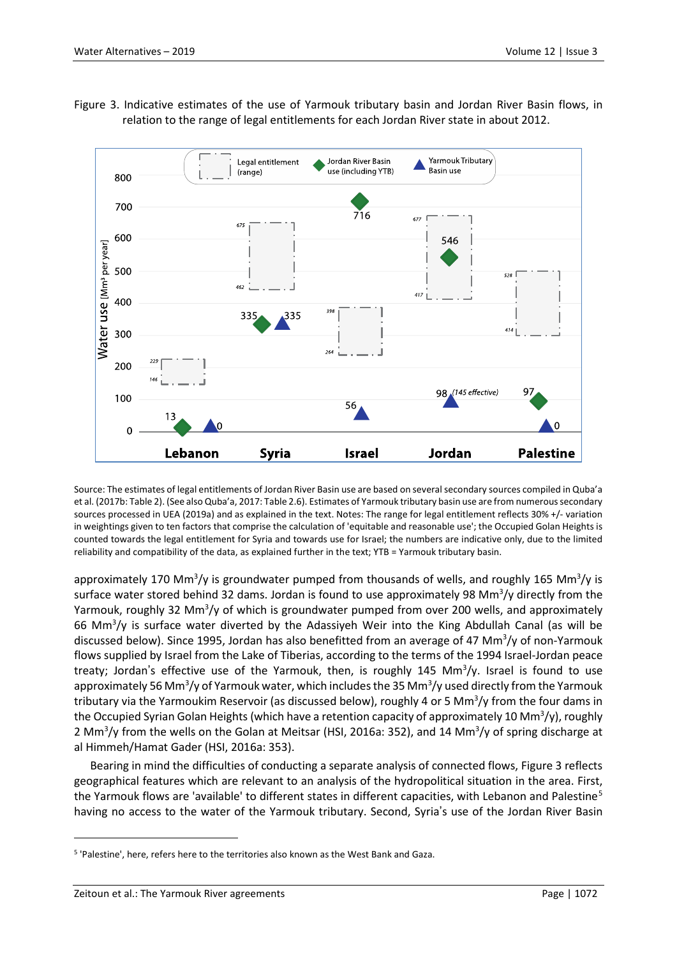

Figure 3. Indicative estimates of the use of Yarmouk tributary basin and Jordan River Basin flows, in relation to the range of legal entitlements for each Jordan River state in about 2012.

Source: The estimates of legal entitlements of Jordan River Basin use are based on several secondary sources compiled in Quba'a et al. (2017b: Table 2). (See also Quba'a, 2017: Table 2.6). Estimates of Yarmouk tributary basin use are from numerous secondary sources processed in UEA (2019a) and as explained in the text. Notes: The range for legal entitlement reflects 30% +/- variation in weightings given to ten factors that comprise the calculation of 'equitable and reasonable use'; the Occupied Golan Heights is counted towards the legal entitlement for Syria and towards use for Israel; the numbers are indicative only, due to the limited reliability and compatibility of the data, as explained further in the text; YTB = Yarmouk tributary basin.

approximately 170 Mm<sup>3</sup>/y is groundwater pumped from thousands of wells, and roughly 165 Mm<sup>3</sup>/y is surface water stored behind 32 dams. Jordan is found to use approximately 98 Mm<sup>3</sup>/y directly from the Yarmouk, roughly 32 Mm<sup>3</sup>/y of which is groundwater pumped from over 200 wells, and approximately 66 Mm<sup>3</sup>/y is surface water diverted by the Adassiyeh Weir into the King Abdullah Canal (as will be discussed below). Since 1995, Jordan has also benefitted from an average of 47 Mm<sup>3</sup>/y of non-Yarmouk flows supplied by Israel from the Lake of Tiberias, according to the terms of the 1994 Israel-Jordan peace treaty; Jordan's effective use of the Yarmouk, then, is roughly 145 Mm<sup>3</sup>/y. Israel is found to use approximately 56 Mm<sup>3</sup>/y of Yarmouk water, which includes the 35 Mm<sup>3</sup>/y used directly from the Yarmouk tributary via the Yarmoukim Reservoir (as discussed below), roughly 4 or 5 Mm<sup>3</sup>/y from the four dams in the Occupied Syrian Golan Heights (which have a retention capacity of approximately 10 Mm<sup>3</sup>/y), roughly 2 Mm<sup>3</sup>/y from the wells on the Golan at Meitsar (HSI, 2016a: 352), and 14 Mm<sup>3</sup>/y of spring discharge at al Himmeh/Hamat Gader (HSI, 2016a: 353).

Bearing in mind the difficulties of conducting a separate analysis of connected flows, Figure 3 reflects geographical features which are relevant to an analysis of the hydropolitical situation in the area. First, the Yarmouk flows are 'available' to different states in different capacities, with Lebanon and Palestine<sup>[5](#page-8-0)</sup> having no access to the water of the Yarmouk tributary. Second, Syria's use of the Jordan River Basin

<span id="page-8-0"></span><sup>5</sup> 'Palestine', here, refers here to the territories also known as the West Bank and Gaza.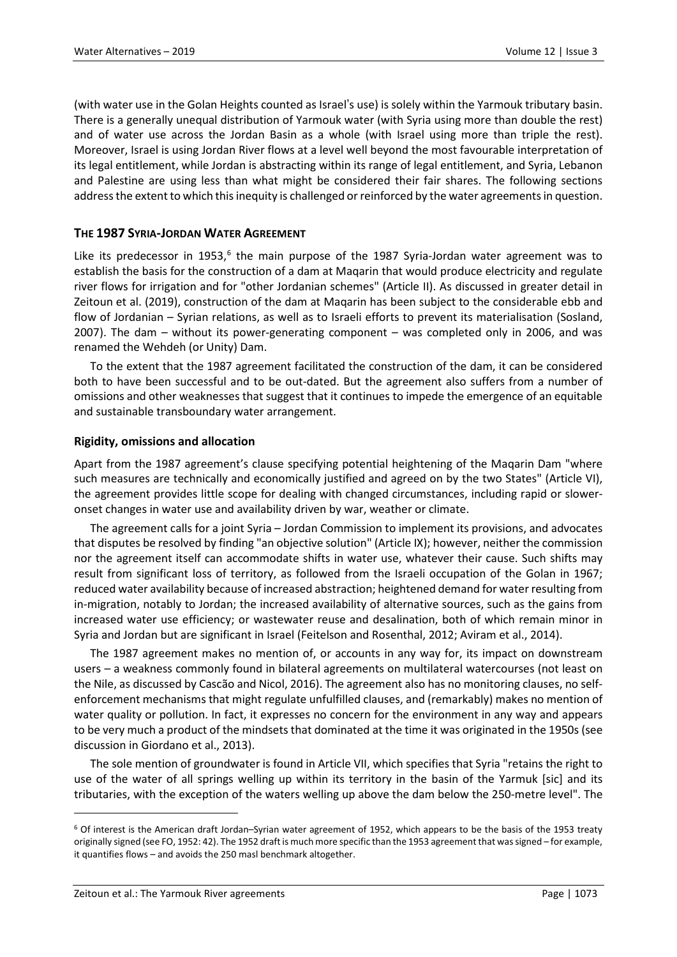(with water use in the Golan Heights counted as Israel's use) is solely within the Yarmouk tributary basin. There is a generally unequal distribution of Yarmouk water (with Syria using more than double the rest) and of water use across the Jordan Basin as a whole (with Israel using more than triple the rest). Moreover, Israel is using Jordan River flows at a level well beyond the most favourable interpretation of its legal entitlement, while Jordan is abstracting within its range of legal entitlement, and Syria, Lebanon and Palestine are using less than what might be considered their fair shares. The following sections address the extent to which this inequity is challenged or reinforced by the water agreements in question.

## **THE 1987 SYRIA-JORDAN WATER AGREEMENT**

Like its predecessor in 1953, $6$  the main purpose of the 1987 Syria-Jordan water agreement was to establish the basis for the construction of a dam at Maqarin that would produce electricity and regulate river flows for irrigation and for "other Jordanian schemes" (Article II). As discussed in greater detail in Zeitoun et al. (2019), construction of the dam at Maqarin has been subject to the considerable ebb and flow of Jordanian – Syrian relations, as well as to Israeli efforts to prevent its materialisation (Sosland, 2007). The dam – without its power-generating component – was completed only in 2006, and was renamed the Wehdeh (or Unity) Dam.

To the extent that the 1987 agreement facilitated the construction of the dam, it can be considered both to have been successful and to be out-dated. But the agreement also suffers from a number of omissions and other weaknesses that suggest that it continues to impede the emergence of an equitable and sustainable transboundary water arrangement.

#### **Rigidity, omissions and allocation**

Apart from the 1987 agreement's clause specifying potential heightening of the Maqarin Dam "where such measures are technically and economically justified and agreed on by the two States" (Article VI), the agreement provides little scope for dealing with changed circumstances, including rapid or sloweronset changes in water use and availability driven by war, weather or climate.

The agreement calls for a joint Syria – Jordan Commission to implement its provisions, and advocates that disputes be resolved by finding "an objective solution" (Article IX); however, neither the commission nor the agreement itself can accommodate shifts in water use, whatever their cause. Such shifts may result from significant loss of territory, as followed from the Israeli occupation of the Golan in 1967; reduced water availability because of increased abstraction; heightened demand for water resulting from in-migration, notably to Jordan; the increased availability of alternative sources, such as the gains from increased water use efficiency; or wastewater reuse and desalination, both of which remain minor in Syria and Jordan but are significant in Israel (Feitelson and Rosenthal, 2012; Aviram et al., 2014).

The 1987 agreement makes no mention of, or accounts in any way for, its impact on downstream users – a weakness commonly found in bilateral agreements on multilateral watercourses (not least on the Nile, as discussed by Cascão and Nicol, 2016). The agreement also has no monitoring clauses, no selfenforcement mechanisms that might regulate unfulfilled clauses, and (remarkably) makes no mention of water quality or pollution. In fact, it expresses no concern for the environment in any way and appears to be very much a product of the mindsets that dominated at the time it was originated in the 1950s (see discussion in Giordano et al., 2013).

The sole mention of groundwater is found in Article VII, which specifies that Syria "retains the right to use of the water of all springs welling up within its territory in the basin of the Yarmuk [sic] and its tributaries, with the exception of the waters welling up above the dam below the 250-metre level". The

<span id="page-9-0"></span><sup>6</sup> Of interest is the American draft Jordan–Syrian water agreement of 1952, which appears to be the basis of the 1953 treaty originally signed (see FO, 1952: 42). The 1952 draft is much more specific than the 1953 agreement that wassigned – for example, it quantifies flows – and avoids the 250 masl benchmark altogether.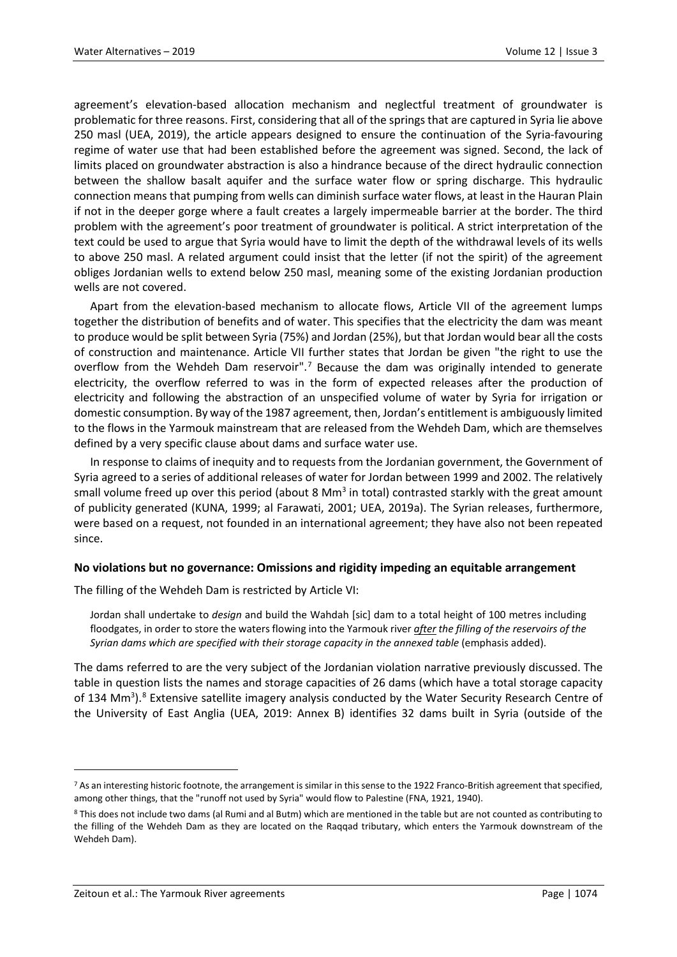agreement's elevation-based allocation mechanism and neglectful treatment of groundwater is problematic for three reasons. First, considering that all of the springs that are captured in Syria lie above 250 masl (UEA, 2019), the article appears designed to ensure the continuation of the Syria-favouring regime of water use that had been established before the agreement was signed. Second, the lack of limits placed on groundwater abstraction is also a hindrance because of the direct hydraulic connection between the shallow basalt aquifer and the surface water flow or spring discharge. This hydraulic connection means that pumping from wells can diminish surface water flows, at least in the Hauran Plain if not in the deeper gorge where a fault creates a largely impermeable barrier at the border. The third problem with the agreement's poor treatment of groundwater is political. A strict interpretation of the text could be used to argue that Syria would have to limit the depth of the withdrawal levels of its wells to above 250 masl. A related argument could insist that the letter (if not the spirit) of the agreement obliges Jordanian wells to extend below 250 masl, meaning some of the existing Jordanian production wells are not covered.

Apart from the elevation-based mechanism to allocate flows, Article VII of the agreement lumps together the distribution of benefits and of water. This specifies that the electricity the dam was meant to produce would be split between Syria (75%) and Jordan (25%), but that Jordan would bear all the costs of construction and maintenance. Article VII further states that Jordan be given "the right to use the overflow from the Wehdeh Dam reservoir".<sup>[7](#page-10-0)</sup> Because the dam was originally intended to generate electricity, the overflow referred to was in the form of expected releases after the production of electricity and following the abstraction of an unspecified volume of water by Syria for irrigation or domestic consumption. By way of the 1987 agreement, then, Jordan's entitlement is ambiguously limited to the flows in the Yarmouk mainstream that are released from the Wehdeh Dam, which are themselves defined by a very specific clause about dams and surface water use.

In response to claims of inequity and to requests from the Jordanian government, the Government of Syria agreed to a series of additional releases of water for Jordan between 1999 and 2002. The relatively small volume freed up over this period (about 8  $Mm<sup>3</sup>$  in total) contrasted starkly with the great amount of publicity generated (KUNA, 1999; al Farawati, 2001; UEA, 2019a). The Syrian releases, furthermore, were based on a request, not founded in an international agreement; they have also not been repeated since.

#### **No violations but no governance: Omissions and rigidity impeding an equitable arrangement**

The filling of the Wehdeh Dam is restricted by Article VI:

Jordan shall undertake to *design* and build the Wahdah [sic] dam to a total height of 100 metres including floodgates, in order to store the waters flowing into the Yarmouk river *after the filling of the reservoirs of the Syrian dams which are specified with their storage capacity in the annexed table* (emphasis added).

The dams referred to are the very subject of the Jordanian violation narrative previously discussed. The table in question lists the names and storage capacities of 26 dams (which have a total storage capacity of 134 Mm<sup>3</sup>).<sup>[8](#page-10-1)</sup> Extensive satellite imagery analysis conducted by the Water Security Research Centre of the University of East Anglia (UEA, 2019: Annex B) identifies 32 dams built in Syria (outside of the

<span id="page-10-0"></span><sup>&</sup>lt;sup>7</sup> As an interesting historic footnote, the arrangement is similar in this sense to the 1922 Franco-British agreement that specified, among other things, that the "runoff not used by Syria" would flow to Palestine (FNA, 1921, 1940).

<span id="page-10-1"></span><sup>8</sup> This does not include two dams (al Rumi and al Butm) which are mentioned in the table but are not counted as contributing to the filling of the Wehdeh Dam as they are located on the Raqqad tributary, which enters the Yarmouk downstream of the Wehdeh Dam).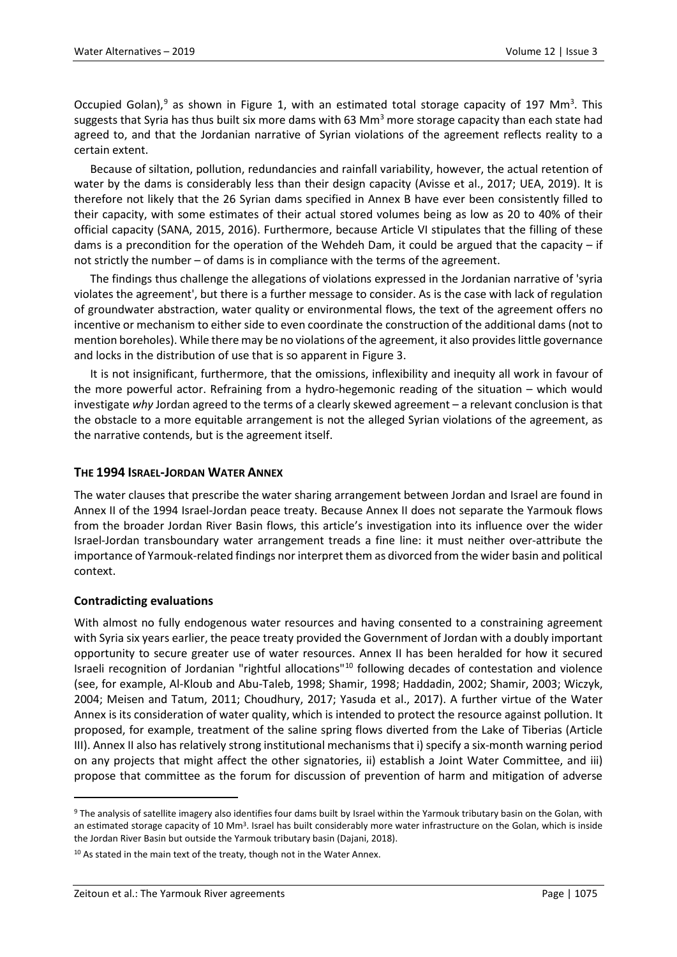Occupied Golan),<sup>[9](#page-11-0)</sup> as shown in Figure 1, with an estimated total storage capacity of 197 Mm<sup>3</sup>. This suggests that Syria has thus built six more dams with 63 Mm<sup>3</sup> more storage capacity than each state had agreed to, and that the Jordanian narrative of Syrian violations of the agreement reflects reality to a certain extent.

Because of siltation, pollution, redundancies and rainfall variability, however, the actual retention of water by the dams is considerably less than their design capacity (Avisse et al., 2017; UEA, 2019). It is therefore not likely that the 26 Syrian dams specified in Annex B have ever been consistently filled to their capacity, with some estimates of their actual stored volumes being as low as 20 to 40% of their official capacity (SANA, 2015, 2016). Furthermore, because Article VI stipulates that the filling of these dams is a precondition for the operation of the Wehdeh Dam, it could be argued that the capacity – if not strictly the number – of dams is in compliance with the terms of the agreement.

The findings thus challenge the allegations of violations expressed in the Jordanian narrative of 'syria violates the agreement', but there is a further message to consider. As is the case with lack of regulation of groundwater abstraction, water quality or environmental flows, the text of the agreement offers no incentive or mechanism to either side to even coordinate the construction of the additional dams (not to mention boreholes). While there may be no violations of the agreement, it also provides little governance and locks in the distribution of use that is so apparent in Figure 3.

It is not insignificant, furthermore, that the omissions, inflexibility and inequity all work in favour of the more powerful actor. Refraining from a hydro-hegemonic reading of the situation – which would investigate *why* Jordan agreed to the terms of a clearly skewed agreement – a relevant conclusion is that the obstacle to a more equitable arrangement is not the alleged Syrian violations of the agreement, as the narrative contends, but is the agreement itself.

## **THE 1994 ISRAEL-JORDAN WATER ANNEX**

The water clauses that prescribe the water sharing arrangement between Jordan and Israel are found in Annex II of the 1994 Israel-Jordan peace treaty. Because Annex II does not separate the Yarmouk flows from the broader Jordan River Basin flows, this article's investigation into its influence over the wider Israel-Jordan transboundary water arrangement treads a fine line: it must neither over-attribute the importance of Yarmouk-related findings nor interpret them as divorced from the wider basin and political context.

#### **Contradicting evaluations**

 $\overline{a}$ 

With almost no fully endogenous water resources and having consented to a constraining agreement with Syria six years earlier, the peace treaty provided the Government of Jordan with a doubly important opportunity to secure greater use of water resources. Annex II has been heralded for how it secured Israeli recognition of Jordanian "rightful allocations"[10](#page-11-1) following decades of contestation and violence (see, for example, Al-Kloub and Abu-Taleb, 1998; Shamir, 1998; Haddadin, 2002; Shamir, 2003; Wiczyk, 2004; Meisen and Tatum, 2011; Choudhury, 2017; Yasuda et al., 2017). A further virtue of the Water Annex is its consideration of water quality, which is intended to protect the resource against pollution. It proposed, for example, treatment of the saline spring flows diverted from the Lake of Tiberias (Article III). Annex II also has relatively strong institutional mechanisms that i) specify a six-month warning period on any projects that might affect the other signatories, ii) establish a Joint Water Committee, and iii) propose that committee as the forum for discussion of prevention of harm and mitigation of adverse

<span id="page-11-0"></span><sup>9</sup> The analysis of satellite imagery also identifies four dams built by Israel within the Yarmouk tributary basin on the Golan, with an estimated storage capacity of 10 Mm<sup>3</sup>. Israel has built considerably more water infrastructure on the Golan, which is inside the Jordan River Basin but outside the Yarmouk tributary basin (Dajani, 2018).

<span id="page-11-1"></span><sup>&</sup>lt;sup>10</sup> As stated in the main text of the treaty, though not in the Water Annex.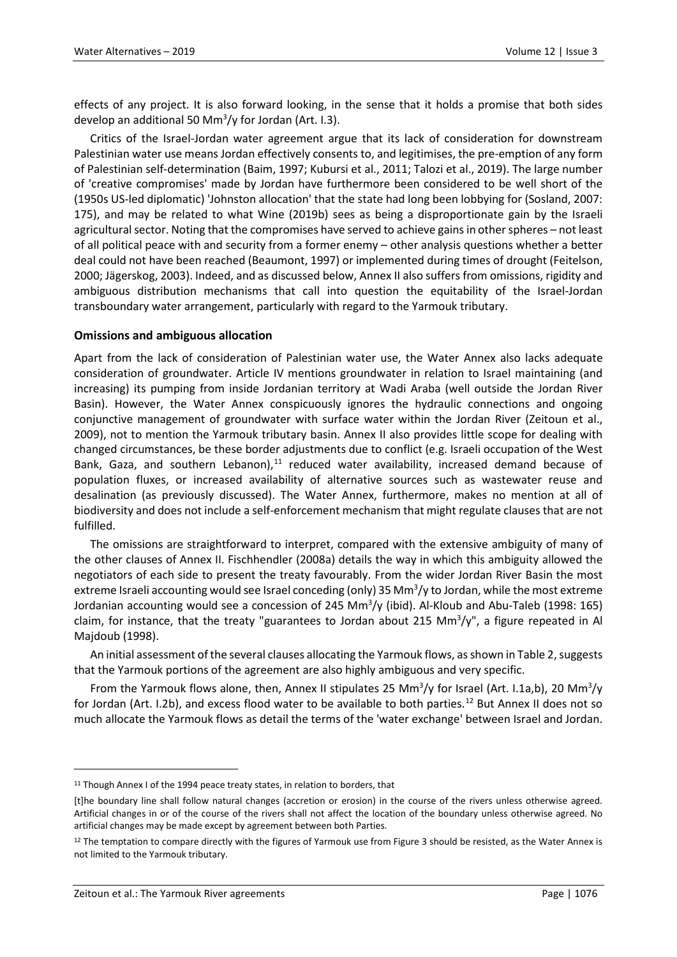effects of any project. It is also forward looking, in the sense that it holds a promise that both sides develop an additional 50 Mm<sup>3</sup>/y for Jordan (Art. I.3).

Critics of the Israel-Jordan water agreement argue that its lack of consideration for downstream Palestinian water use means Jordan effectively consents to, and legitimises, the pre-emption of any form of Palestinian self-determination (Baim, 1997; Kubursi et al., 2011; Talozi et al., 2019). The large number of 'creative compromises' made by Jordan have furthermore been considered to be well short of the (1950s US-led diplomatic) 'Johnston allocation' that the state had long been lobbying for (Sosland, 2007: 175), and may be related to what Wine (2019b) sees as being a disproportionate gain by the Israeli agricultural sector. Noting that the compromises have served to achieve gains in other spheres – not least of all political peace with and security from a former enemy – other analysis questions whether a better deal could not have been reached (Beaumont, 1997) or implemented during times of drought (Feitelson, 2000; Jägerskog, 2003). Indeed, and as discussed below, Annex II also suffers from omissions, rigidity and ambiguous distribution mechanisms that call into question the equitability of the Israel-Jordan transboundary water arrangement, particularly with regard to the Yarmouk tributary.

#### **Omissions and ambiguous allocation**

Apart from the lack of consideration of Palestinian water use, the Water Annex also lacks adequate consideration of groundwater. Article IV mentions groundwater in relation to Israel maintaining (and increasing) its pumping from inside Jordanian territory at Wadi Araba (well outside the Jordan River Basin). However, the Water Annex conspicuously ignores the hydraulic connections and ongoing conjunctive management of groundwater with surface water within the Jordan River (Zeitoun et al., 2009), not to mention the Yarmouk tributary basin. Annex II also provides little scope for dealing with changed circumstances, be these border adjustments due to conflict (e.g. Israeli occupation of the West Bank, Gaza, and southern Lebanon), $11$  reduced water availability, increased demand because of population fluxes, or increased availability of alternative sources such as wastewater reuse and desalination (as previously discussed). The Water Annex, furthermore, makes no mention at all of biodiversity and does not include a self-enforcement mechanism that might regulate clauses that are not fulfilled.

The omissions are straightforward to interpret, compared with the extensive ambiguity of many of the other clauses of Annex II. Fischhendler (2008a) details the way in which this ambiguity allowed the negotiators of each side to present the treaty favourably. From the wider Jordan River Basin the most extreme Israeli accounting would see Israel conceding (only) 35 Mm<sup>3</sup>/y to Jordan, while the most extreme Jordanian accounting would see a concession of 245 Mm<sup>3</sup>/y (ibid). Al-Kloub and Abu-Taleb (1998: 165) claim, for instance, that the treaty "guarantees to Jordan about 215 Mm<sup>3</sup>/y", a figure repeated in Al Majdoub (1998).

An initial assessment of the several clauses allocating the Yarmouk flows, as shown in Table 2, suggests that the Yarmouk portions of the agreement are also highly ambiguous and very specific.

From the Yarmouk flows alone, then, Annex II stipulates 25 Mm<sup>3</sup>/y for Israel (Art. I.1a,b), 20 Mm<sup>3</sup>/y for Jordan (Art. I.2b), and excess flood water to be available to both parties.<sup>[12](#page-12-1)</sup> But Annex II does not so much allocate the Yarmouk flows as detail the terms of the 'water exchange' between Israel and Jordan.

<span id="page-12-0"></span><sup>&</sup>lt;sup>11</sup> Though Annex I of the 1994 peace treaty states, in relation to borders, that

<sup>[</sup>t]he boundary line shall follow natural changes (accretion or erosion) in the course of the rivers unless otherwise agreed. Artificial changes in or of the course of the rivers shall not affect the location of the boundary unless otherwise agreed. No artificial changes may be made except by agreement between both Parties.

<span id="page-12-1"></span> $12$  The temptation to compare directly with the figures of Yarmouk use from Figure 3 should be resisted, as the Water Annex is not limited to the Yarmouk tributary.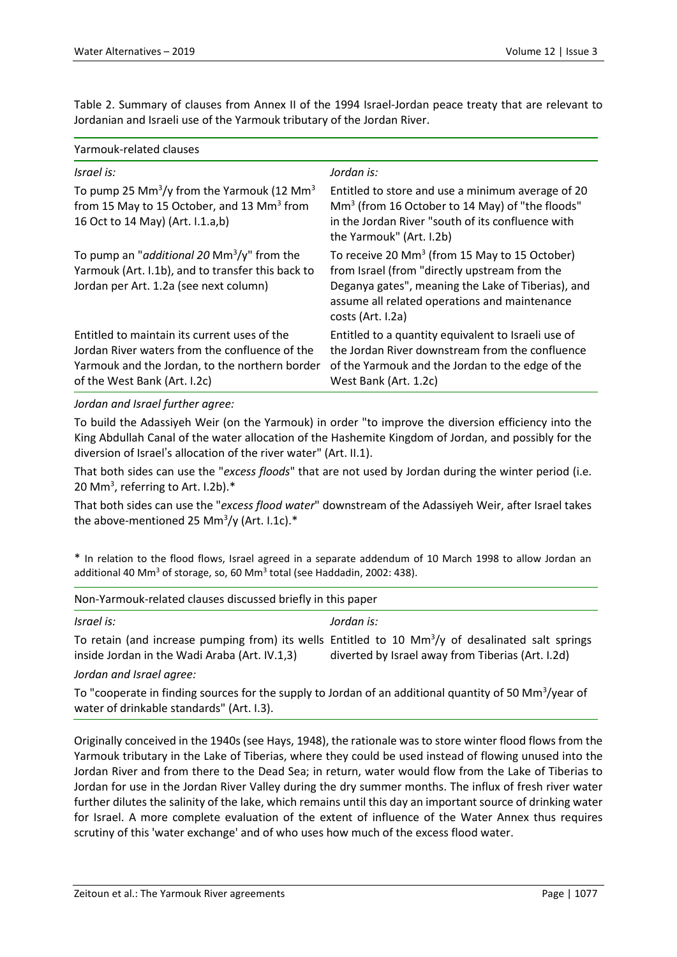Table 2. Summary of clauses from Annex II of the 1994 Israel-Jordan peace treaty that are relevant to Jordanian and Israeli use of the Yarmouk tributary of the Jordan River.

| Yarmouk-related clauses                                                                                                                                                          |                                                                                                                                                                                                                                        |  |  |  |
|----------------------------------------------------------------------------------------------------------------------------------------------------------------------------------|----------------------------------------------------------------------------------------------------------------------------------------------------------------------------------------------------------------------------------------|--|--|--|
| Israel is:                                                                                                                                                                       | Jordan is:                                                                                                                                                                                                                             |  |  |  |
| To pump 25 Mm <sup>3</sup> /y from the Yarmouk (12 Mm <sup>3</sup> )<br>from 15 May to 15 October, and 13 Mm <sup>3</sup> from<br>16 Oct to 14 May) (Art. I.1.a,b)               | Entitled to store and use a minimum average of 20<br>$\text{Mm}^3$ (from 16 October to 14 May) of "the floods"<br>in the Jordan River "south of its confluence with<br>the Yarmouk" (Art. I.2b)                                        |  |  |  |
| To pump an " <i>additional 20 Mm</i> <sup>3</sup> /y" from the<br>Yarmouk (Art. I.1b), and to transfer this back to<br>Jordan per Art. 1.2a (see next column)                    | To receive 20 Mm <sup>3</sup> (from 15 May to 15 October)<br>from Israel (from "directly upstream from the<br>Deganya gates", meaning the Lake of Tiberias), and<br>assume all related operations and maintenance<br>costs (Art. I.2a) |  |  |  |
| Entitled to maintain its current uses of the<br>Jordan River waters from the confluence of the<br>Yarmouk and the Jordan, to the northern border<br>of the West Bank (Art. I.2c) | Entitled to a quantity equivalent to Israeli use of<br>the Jordan River downstream from the confluence<br>of the Yarmouk and the Jordan to the edge of the<br>West Bank (Art. 1.2c)                                                    |  |  |  |

*Jordan and Israel further agree:*

To build the Adassiyeh Weir (on the Yarmouk) in order "to improve the diversion efficiency into the King Abdullah Canal of the water allocation of the Hashemite Kingdom of Jordan, and possibly for the diversion of Israel's allocation of the river water" (Art. II.1).

That both sides can use the "*excess floods*" that are not used by Jordan during the winter period (i.e. 20 Mm<sup>3</sup>, referring to Art. I.2b). $*$ 

That both sides can use the "*excess flood water*" downstream of the Adassiyeh Weir, after Israel takes the above-mentioned 25 Mm<sup>3</sup>/y (Art. I.1c).\*

\* In relation to the flood flows, Israel agreed in a separate addendum of 10 March 1998 to allow Jordan an additional 40 Mm<sup>3</sup> of storage, so, 60 Mm<sup>3</sup> total (see Haddadin, 2002: 438).

| Non-Yarmouk-related clauses discussed briefly in this paper |  |  |  |
|-------------------------------------------------------------|--|--|--|
|-------------------------------------------------------------|--|--|--|

| Israel is:                                    | Jordan is:                                                                                                        |
|-----------------------------------------------|-------------------------------------------------------------------------------------------------------------------|
|                                               | To retain (and increase pumping from) its wells Entitled to 10 $\text{Mm}^3\text{/y}$ of desalinated salt springs |
| inside Jordan in the Wadi Araba (Art. IV.1,3) | diverted by Israel away from Tiberias (Art. I.2d)                                                                 |
|                                               |                                                                                                                   |

#### *Jordan and Israel agree:*

To "cooperate in finding sources for the supply to Jordan of an additional quantity of 50 Mm<sup>3</sup>/year of water of drinkable standards" (Art. I.3).

Originally conceived in the 1940s (see Hays, 1948), the rationale was to store winter flood flows from the Yarmouk tributary in the Lake of Tiberias, where they could be used instead of flowing unused into the Jordan River and from there to the Dead Sea; in return, water would flow from the Lake of Tiberias to Jordan for use in the Jordan River Valley during the dry summer months. The influx of fresh river water further dilutes the salinity of the lake, which remains until this day an important source of drinking water for Israel. A more complete evaluation of the extent of influence of the Water Annex thus requires scrutiny of this 'water exchange' and of who uses how much of the excess flood water.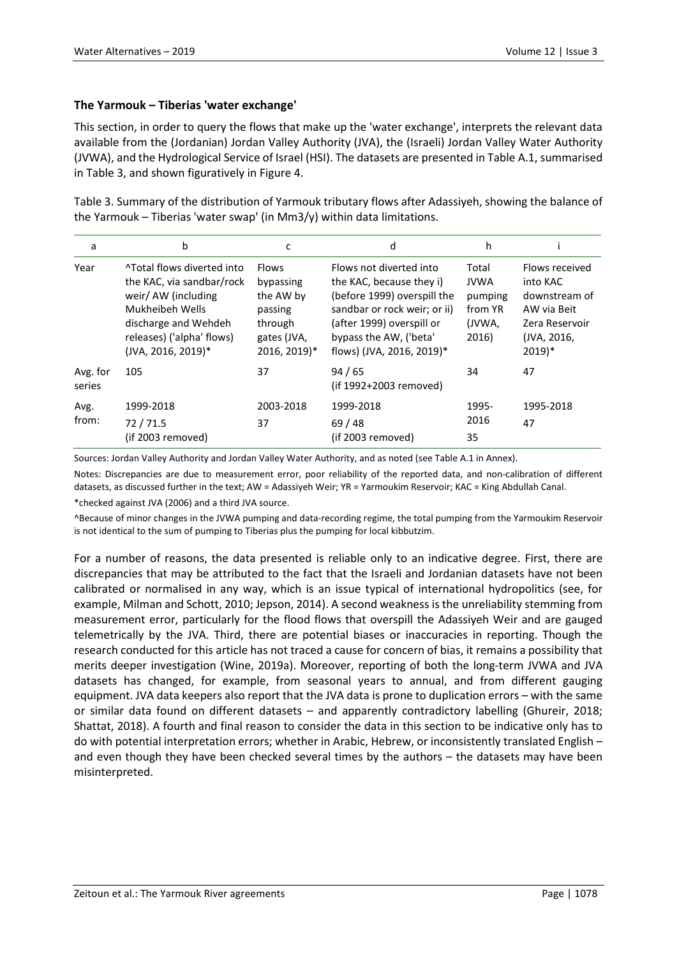## **The Yarmouk – Tiberias 'water exchange'**

This section, in order to query the flows that make up the 'water exchange', interprets the relevant data available from the (Jordanian) Jordan Valley Authority (JVA), the (Israeli) Jordan Valley Water Authority (JVWA), and the Hydrological Service of Israel (HSI). The datasets are presented in Table A.1, summarised in Table 3, and shown figuratively in Figure 4.

Table 3. Summary of the distribution of Yarmouk tributary flows after Adassiyeh, showing the balance of the Yarmouk – Tiberias 'water swap' (in Mm3/y) within data limitations.

| a                  | b                                                                                                                                                                            | c                                                                                           | d                                                                                                                                                                                                      | h                                                             |                                                                                                                    |
|--------------------|------------------------------------------------------------------------------------------------------------------------------------------------------------------------------|---------------------------------------------------------------------------------------------|--------------------------------------------------------------------------------------------------------------------------------------------------------------------------------------------------------|---------------------------------------------------------------|--------------------------------------------------------------------------------------------------------------------|
| Year               | ^Total flows diverted into<br>the KAC, via sandbar/rock<br>weir/ AW (including<br>Mukheibeh Wells<br>discharge and Wehdeh<br>releases) ('alpha' flows)<br>(JVA, 2016, 2019)* | <b>Flows</b><br>bypassing<br>the AW by<br>passing<br>through<br>gates (JVA,<br>2016, 2019)* | Flows not diverted into<br>the KAC, because they i)<br>(before 1999) overspill the<br>sandbar or rock weir; or ii)<br>(after 1999) overspill or<br>bypass the AW, ('beta'<br>flows) (JVA, 2016, 2019)* | Total<br><b>JVWA</b><br>pumping<br>from YR<br>(JVWA.<br>2016) | Flows received<br>into KAC<br>downstream of<br>AW via Beit<br>Zera Reservoir<br>(JVA, 2016,<br>$2019$ <sup>*</sup> |
| Avg. for<br>series | 105                                                                                                                                                                          | 37                                                                                          | 94/65<br>(if 1992+2003 removed)                                                                                                                                                                        | 34                                                            | 47                                                                                                                 |
| Avg.<br>from:      | 1999-2018<br>72/71.5<br>(if 2003 removed)                                                                                                                                    | 2003-2018<br>37                                                                             | 1999-2018<br>69/48<br>(if 2003 removed)                                                                                                                                                                | 1995-<br>2016<br>35                                           | 1995-2018<br>47                                                                                                    |

Sources: Jordan Valley Authority and Jordan Valley Water Authority, and as noted (see Table A.1 in Annex).

Notes: Discrepancies are due to measurement error, poor reliability of the reported data, and non-calibration of different datasets, as discussed further in the text; AW = Adassiyeh Weir; YR = Yarmoukim Reservoir; KAC = King Abdullah Canal.

\*checked against JVA (2006) and a third JVA source.

^Because of minor changes in the JVWA pumping and data-recording regime, the total pumping from the Yarmoukim Reservoir is not identical to the sum of pumping to Tiberias plus the pumping for local kibbutzim.

For a number of reasons, the data presented is reliable only to an indicative degree. First, there are discrepancies that may be attributed to the fact that the Israeli and Jordanian datasets have not been calibrated or normalised in any way, which is an issue typical of international hydropolitics (see, for example, Milman and Schott, 2010; Jepson, 2014). A second weakness is the unreliability stemming from measurement error, particularly for the flood flows that overspill the Adassiyeh Weir and are gauged telemetrically by the JVA. Third, there are potential biases or inaccuracies in reporting. Though the research conducted for this article has not traced a cause for concern of bias, it remains a possibility that merits deeper investigation (Wine, 2019a). Moreover, reporting of both the long-term JVWA and JVA datasets has changed, for example, from seasonal years to annual, and from different gauging equipment. JVA data keepers also report that the JVA data is prone to duplication errors – with the same or similar data found on different datasets – and apparently contradictory labelling (Ghureir, 2018; Shattat, 2018). A fourth and final reason to consider the data in this section to be indicative only has to do with potential interpretation errors; whether in Arabic, Hebrew, or inconsistently translated English – and even though they have been checked several times by the authors – the datasets may have been misinterpreted.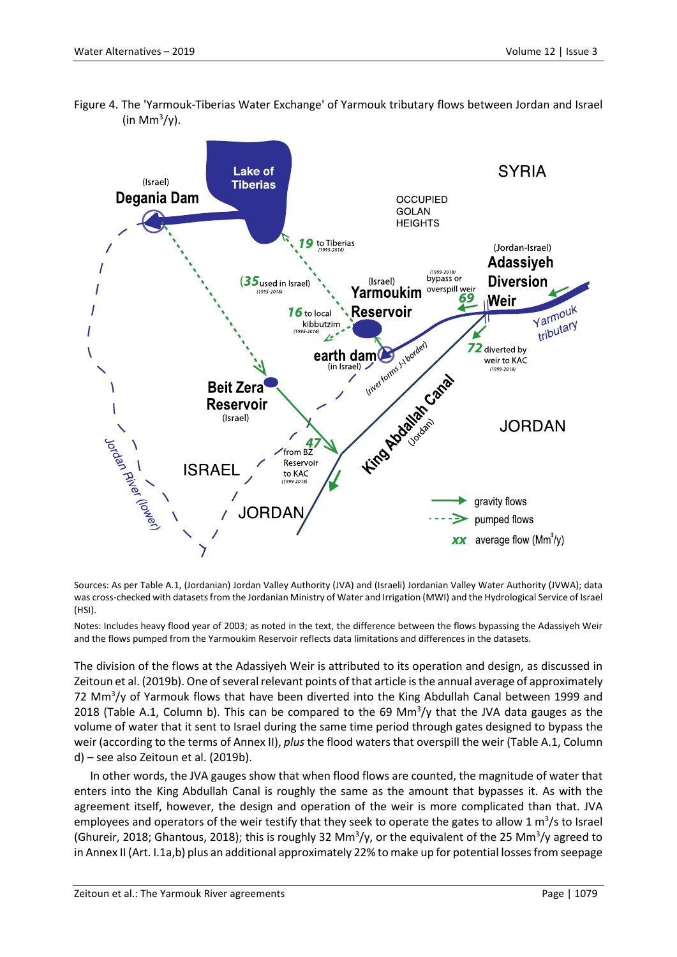Figure 4. The 'Yarmouk-Tiberias Water Exchange' of Yarmouk tributary flows between Jordan and Israel (in Mm $\frac{3}{y}$ ).



Sources: As per Table A.1, (Jordanian) Jordan Valley Authority (JVA) and (Israeli) Jordanian Valley Water Authority (JVWA); data was cross-checked with datasets from the Jordanian Ministry of Water and Irrigation (MWI) and the Hydrological Service of Israel (HSI).

Notes: Includes heavy flood year of 2003; as noted in the text, the difference between the flows bypassing the Adassiyeh Weir and the flows pumped from the Yarmoukim Reservoir reflects data limitations and differences in the datasets.

The division of the flows at the Adassiyeh Weir is attributed to its operation and design, as discussed in Zeitoun et al. (2019b). One of several relevant points of that article is the annual average of approximately 72 Mm3 /y of Yarmouk flows that have been diverted into the King Abdullah Canal between 1999 and 2018 (Table A.1, Column b). This can be compared to the 69 Mm $\frac{3}{y}$  that the JVA data gauges as the volume of water that it sent to Israel during the same time period through gates designed to bypass the weir (according to the terms of Annex II), *plus* the flood waters that overspill the weir (Table A.1, Column d) – see also Zeitoun et al. (2019b).

In other words, the JVA gauges show that when flood flows are counted, the magnitude of water that enters into the King Abdullah Canal is roughly the same as the amount that bypasses it. As with the agreement itself, however, the design and operation of the weir is more complicated than that. JVA employees and operators of the weir testify that they seek to operate the gates to allow 1  $\text{m}^3\text{/s}$  to Israel (Ghureir, 2018; Ghantous, 2018); this is roughly 32 Mm<sup>3</sup>/y, or the equivalent of the 25 Mm<sup>3</sup>/y agreed to in Annex II (Art. I.1a,b) plus an additional approximately 22% to make up for potential losses from seepage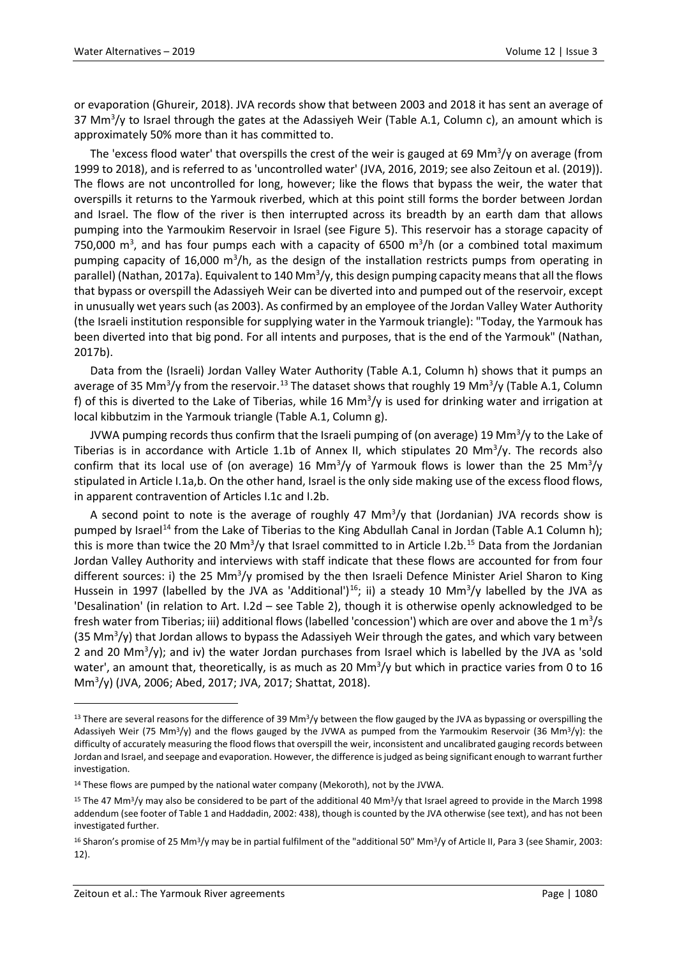or evaporation (Ghureir, 2018). JVA records show that between 2003 and 2018 it has sent an average of 37 Mm<sup>3</sup>/y to Israel through the gates at the Adassiyeh Weir (Table A.1, Column c), an amount which is approximately 50% more than it has committed to.

The 'excess flood water' that overspills the crest of the weir is gauged at 69 Mm<sup>3</sup>/y on average (from 1999 to 2018), and is referred to as 'uncontrolled water' (JVA, 2016, 2019; see also Zeitoun et al. (2019)). The flows are not uncontrolled for long, however; like the flows that bypass the weir, the water that overspills it returns to the Yarmouk riverbed, which at this point still forms the border between Jordan and Israel. The flow of the river is then interrupted across its breadth by an earth dam that allows pumping into the Yarmoukim Reservoir in Israel (see Figure 5). This reservoir has a storage capacity of 750,000  $\mathrm{m}^3$ , and has four pumps each with a capacity of 6500  $\mathrm{m}^3/\mathrm{h}$  (or a combined total maximum pumping capacity of 16,000 m<sup>3</sup>/h, as the design of the installation restricts pumps from operating in parallel) (Nathan, 2017a). Equivalent to 140 Mm<sup>3</sup>/y, this design pumping capacity means that all the flows that bypass or overspill the Adassiyeh Weir can be diverted into and pumped out of the reservoir, except in unusually wet years such (as 2003). As confirmed by an employee of the Jordan Valley Water Authority (the Israeli institution responsible for supplying water in the Yarmouk triangle): "Today, the Yarmouk has been diverted into that big pond. For all intents and purposes, that is the end of the Yarmouk" (Nathan, 2017b).

Data from the (Israeli) Jordan Valley Water Authority (Table A.1, Column h) shows that it pumps an average of 35 Mm<sup>3</sup>/y from the reservoir.<sup>13</sup> The dataset shows that roughly 19 Mm<sup>3</sup>/y (Table A.1, Column f) of this is diverted to the Lake of Tiberias, while 16 Mm<sup>3</sup>/y is used for drinking water and irrigation at local kibbutzim in the Yarmouk triangle (Table A.1, Column g).

JVWA pumping records thus confirm that the Israeli pumping of (on average) 19 Mm $^3$ /y to the Lake of Tiberias is in accordance with Article 1.1b of Annex II, which stipulates 20 Mm<sup>3</sup>/y. The records also confirm that its local use of (on average) 16 Mm<sup>3</sup>/y of Yarmouk flows is lower than the 25 Mm<sup>3</sup>/y stipulated in Article I.1a,b. On the other hand, Israel is the only side making use of the excess flood flows, in apparent contravention of Articles I.1c and I.2b.

A second point to note is the average of roughly 47  $\text{Mm}^3/\text{y}$  that (Jordanian) JVA records show is pumped by Israel<sup>[14](#page-16-1)</sup> from the Lake of Tiberias to the King Abdullah Canal in Jordan (Table A.1 Column h); this is more than twice the 20 Mm<sup>3</sup>/y that Israel committed to in Article I.2b.<sup>[15](#page-16-2)</sup> Data from the Jordanian Jordan Valley Authority and interviews with staff indicate that these flows are accounted for from four different sources: i) the 25 Mm<sup>3</sup>/y promised by the then Israeli Defence Minister Ariel Sharon to King Hussein in 1997 (labelled by the JVA as 'Additional')<sup>16</sup>; ii) a steady 10 Mm<sup>3</sup>/y labelled by the JVA as 'Desalination' (in relation to Art. I.2d – see Table 2), though it is otherwise openly acknowledged to be fresh water from Tiberias; iii) additional flows (labelled 'concession') which are over and above the 1 m<sup>3</sup>/s (35 Mm<sup>3</sup>/y) that Jordan allows to bypass the Adassiyeh Weir through the gates, and which vary between 2 and 20 Mm<sup>3</sup>/y); and iv) the water Jordan purchases from Israel which is labelled by the JVA as 'sold water', an amount that, theoretically, is as much as 20 Mm<sup>3</sup>/y but which in practice varies from 0 to 16 Mm3 /y) (JVA, 2006; Abed, 2017; JVA, 2017; Shattat, 2018).

 $\ddot{\phantom{a}}$ 

<span id="page-16-0"></span><sup>13</sup> There are several reasons for the difference of 39 Mm<sup>3</sup>/y between the flow gauged by the JVA as bypassing or overspilling the Adassiyeh Weir (75 Mm<sup>3</sup>/y) and the flows gauged by the JVWA as pumped from the Yarmoukim Reservoir (36 Mm<sup>3</sup>/y): the difficulty of accurately measuring the flood flows that overspill the weir, inconsistent and uncalibrated gauging records between Jordan and Israel, and seepage and evaporation. However, the difference is judged as being significant enough to warrant further investigation.

<span id="page-16-1"></span><sup>&</sup>lt;sup>14</sup> These flows are pumped by the national water company (Mekoroth), not by the JVWA.

<span id="page-16-2"></span><sup>&</sup>lt;sup>15</sup> The 47 Mm<sup>3</sup>/y may also be considered to be part of the additional 40 Mm<sup>3</sup>/y that Israel agreed to provide in the March 1998 addendum (see footer of Table 1 and Haddadin, 2002: 438), though is counted by the JVA otherwise (see text), and has not been investigated further.

<span id="page-16-3"></span><sup>&</sup>lt;sup>16</sup> Sharon's promise of 25 Mm<sup>3</sup>/y may be in partial fulfilment of the "additional 50" Mm<sup>3</sup>/y of Article II, Para 3 (see Shamir, 2003: 12).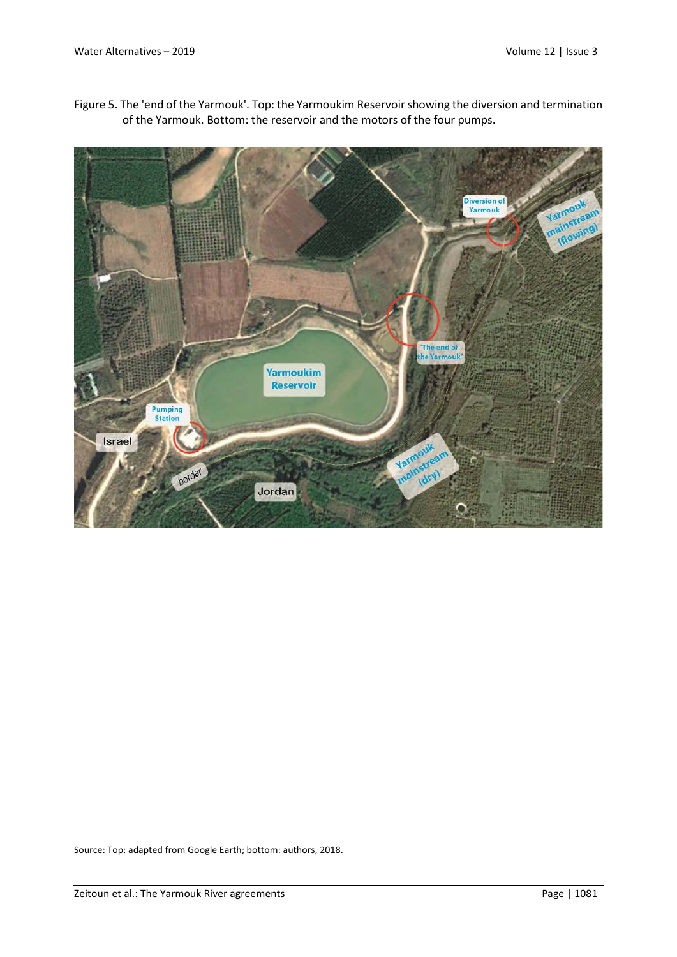

Figure 5. The 'end of the Yarmouk'. Top: the Yarmoukim Reservoir showing the diversion and termination of the Yarmouk. Bottom: the reservoir and the motors of the four pumps.

Source: Top: adapted from Google Earth; bottom: authors, 2018.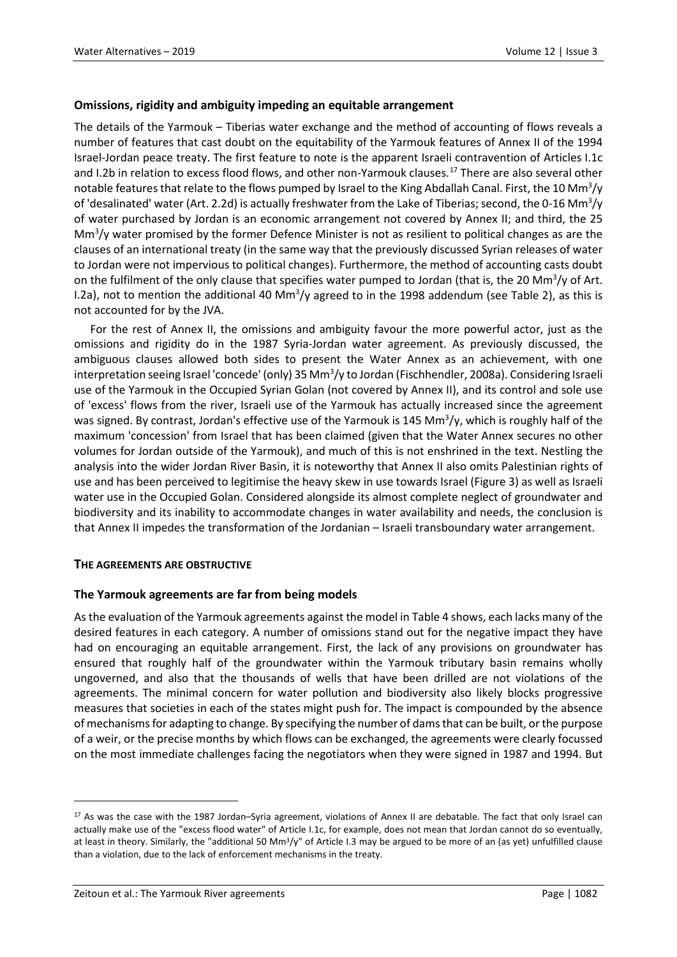## **Omissions, rigidity and ambiguity impeding an equitable arrangement**

The details of the Yarmouk – Tiberias water exchange and the method of accounting of flows reveals a number of features that cast doubt on the equitability of the Yarmouk features of Annex II of the 1994 Israel-Jordan peace treaty. The first feature to note is the apparent Israeli contravention of Articles I.1c and I.2b in relation to excess flood flows, and other non-Yarmouk clauses.<sup>[17](#page-18-0)</sup> There are also several other notable features that relate to the flows pumped by Israel to the King Abdallah Canal. First, the 10 Mm<sup>3</sup>/y of 'desalinated' water (Art. 2.2d) is actually freshwater from the Lake of Tiberias; second, the 0-16 Mm<sup>3</sup>/y of water purchased by Jordan is an economic arrangement not covered by Annex II; and third, the 25 Mm<sup>3</sup>/y water promised by the former Defence Minister is not as resilient to political changes as are the clauses of an international treaty (in the same way that the previously discussed Syrian releases of water to Jordan were not impervious to political changes). Furthermore, the method of accounting casts doubt on the fulfilment of the only clause that specifies water pumped to Jordan (that is, the 20 Mm<sup>3</sup>/y of Art. I.2a), not to mention the additional 40 Mm<sup>3</sup>/y agreed to in the 1998 addendum (see Table 2), as this is not accounted for by the JVA.

For the rest of Annex II, the omissions and ambiguity favour the more powerful actor, just as the omissions and rigidity do in the 1987 Syria-Jordan water agreement. As previously discussed, the ambiguous clauses allowed both sides to present the Water Annex as an achievement, with one interpretation seeing Israel 'concede' (only) 35 Mm<sup>3</sup>/y to Jordan (Fischhendler, 2008a). Considering Israeli use of the Yarmouk in the Occupied Syrian Golan (not covered by Annex II), and its control and sole use of 'excess' flows from the river, Israeli use of the Yarmouk has actually increased since the agreement was signed. By contrast, Jordan's effective use of the Yarmouk is 145 Mm<sup>3</sup>/y, which is roughly half of the maximum 'concession' from Israel that has been claimed (given that the Water Annex secures no other volumes for Jordan outside of the Yarmouk), and much of this is not enshrined in the text. Nestling the analysis into the wider Jordan River Basin, it is noteworthy that Annex II also omits Palestinian rights of use and has been perceived to legitimise the heavy skew in use towards Israel (Figure 3) as well as Israeli water use in the Occupied Golan. Considered alongside its almost complete neglect of groundwater and biodiversity and its inability to accommodate changes in water availability and needs, the conclusion is that Annex II impedes the transformation of the Jordanian – Israeli transboundary water arrangement.

#### **THE AGREEMENTS ARE OBSTRUCTIVE**

#### **The Yarmouk agreements are far from being models**

As the evaluation of the Yarmouk agreements against the model in Table 4 shows, each lacks many of the desired features in each category. A number of omissions stand out for the negative impact they have had on encouraging an equitable arrangement. First, the lack of any provisions on groundwater has ensured that roughly half of the groundwater within the Yarmouk tributary basin remains wholly ungoverned, and also that the thousands of wells that have been drilled are not violations of the agreements. The minimal concern for water pollution and biodiversity also likely blocks progressive measures that societies in each of the states might push for. The impact is compounded by the absence of mechanisms for adapting to change. By specifying the number of dams that can be built, or the purpose of a weir, or the precise months by which flows can be exchanged, the agreements were clearly focussed on the most immediate challenges facing the negotiators when they were signed in 1987 and 1994. But

<span id="page-18-0"></span><sup>&</sup>lt;sup>17</sup> As was the case with the 1987 Jordan–Syria agreement, violations of Annex II are debatable. The fact that only Israel can actually make use of the "excess flood water" of Article I.1c, for example, does not mean that Jordan cannot do so eventually, at least in theory. Similarly, the "additional 50 Mm<sup>3</sup>/y" of Article I.3 may be argued to be more of an (as yet) unfulfilled clause than a violation, due to the lack of enforcement mechanisms in the treaty.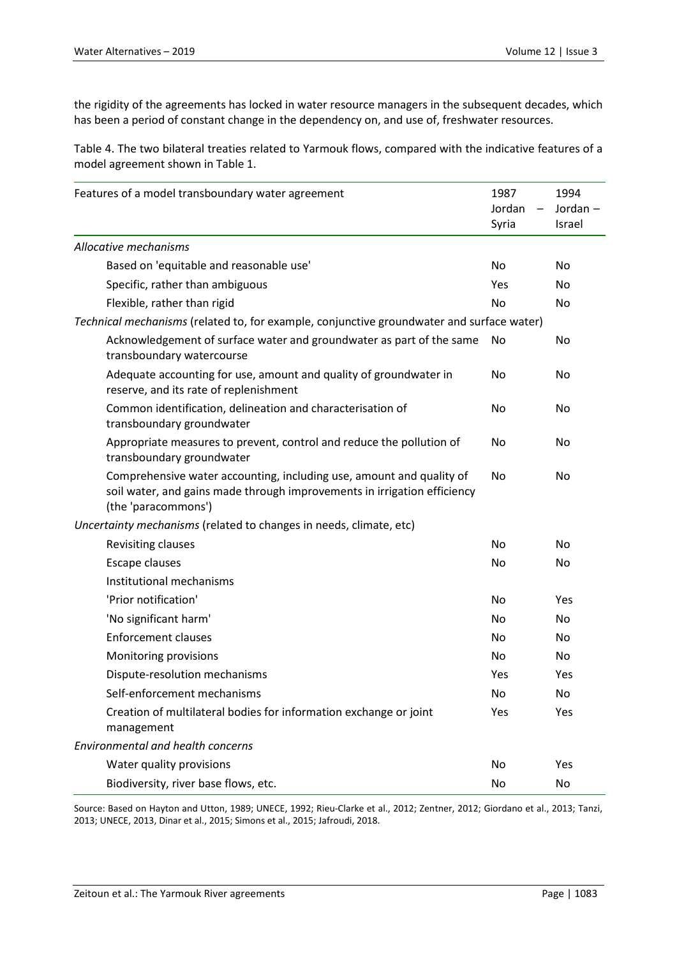the rigidity of the agreements has locked in water resource managers in the subsequent decades, which has been a period of constant change in the dependency on, and use of, freshwater resources.

Table 4. The two bilateral treaties related to Yarmouk flows, compared with the indicative features of a model agreement shown in Table 1.

| Features of a model transboundary water agreement                                                                                                                       | 1987<br>Jordan<br>$\qquad \qquad -$<br>Syria | 1994<br>Jordan-<br>Israel |
|-------------------------------------------------------------------------------------------------------------------------------------------------------------------------|----------------------------------------------|---------------------------|
| Allocative mechanisms                                                                                                                                                   |                                              |                           |
| Based on 'equitable and reasonable use'                                                                                                                                 | No                                           | No                        |
| Specific, rather than ambiguous                                                                                                                                         | Yes                                          | No                        |
| Flexible, rather than rigid                                                                                                                                             | No                                           | No                        |
| Technical mechanisms (related to, for example, conjunctive groundwater and surface water)                                                                               |                                              |                           |
| Acknowledgement of surface water and groundwater as part of the same<br>transboundary watercourse                                                                       | No                                           | No                        |
| Adequate accounting for use, amount and quality of groundwater in<br>reserve, and its rate of replenishment                                                             | No                                           | No                        |
| Common identification, delineation and characterisation of<br>transboundary groundwater                                                                                 | No                                           | No                        |
| Appropriate measures to prevent, control and reduce the pollution of<br>transboundary groundwater                                                                       | No                                           | No                        |
| Comprehensive water accounting, including use, amount and quality of<br>soil water, and gains made through improvements in irrigation efficiency<br>(the 'paracommons') | No                                           | No                        |
| Uncertainty mechanisms (related to changes in needs, climate, etc)                                                                                                      |                                              |                           |
| Revisiting clauses                                                                                                                                                      | No                                           | No                        |
| Escape clauses                                                                                                                                                          | No                                           | No                        |
| Institutional mechanisms                                                                                                                                                |                                              |                           |
| 'Prior notification'                                                                                                                                                    | No                                           | Yes                       |
| 'No significant harm'                                                                                                                                                   | No                                           | No                        |
| <b>Enforcement clauses</b>                                                                                                                                              | No                                           | No                        |
| Monitoring provisions                                                                                                                                                   | No                                           | No.                       |
| Dispute-resolution mechanisms                                                                                                                                           | Yes                                          | Yes                       |
| Self-enforcement mechanisms                                                                                                                                             | No                                           | No                        |
| Creation of multilateral bodies for information exchange or joint<br>management                                                                                         | Yes                                          | Yes                       |
| <b>Environmental and health concerns</b>                                                                                                                                |                                              |                           |
| Water quality provisions                                                                                                                                                | No                                           | Yes                       |
| Biodiversity, river base flows, etc.                                                                                                                                    | No                                           | No                        |

Source: Based on Hayton and Utton, 1989; UNECE, 1992; Rieu-Clarke et al., 2012; Zentner, 2012; Giordano et al., 2013; Tanzi, 2013; UNECE, 2013, Dinar et al., 2015; Simons et al., 2015; Jafroudi, 2018.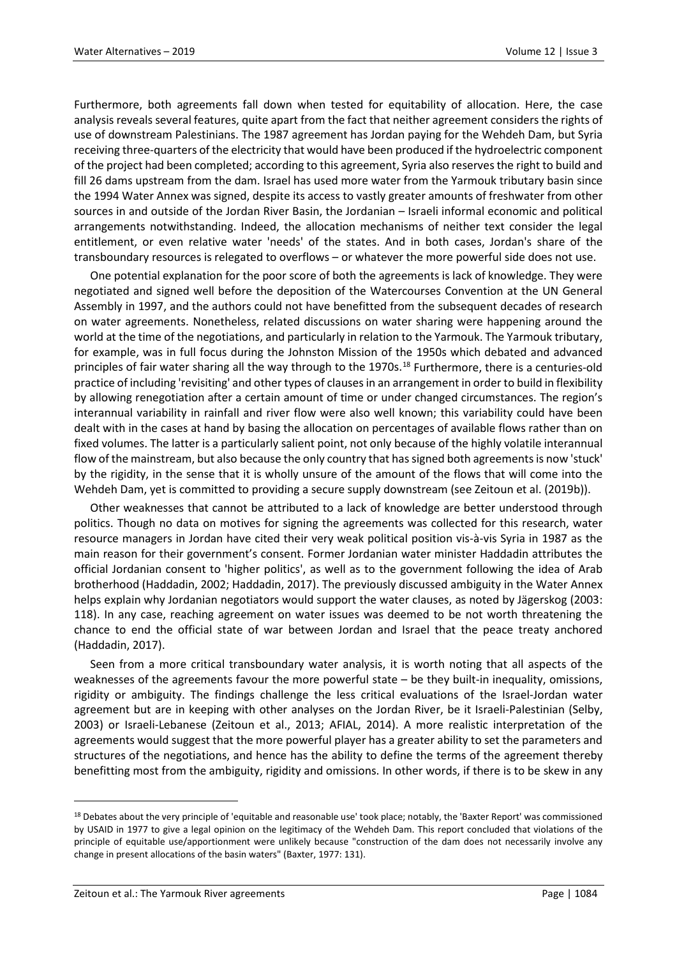Furthermore, both agreements fall down when tested for equitability of allocation. Here, the case analysis reveals several features, quite apart from the fact that neither agreement considers the rights of use of downstream Palestinians. The 1987 agreement has Jordan paying for the Wehdeh Dam, but Syria receiving three-quarters of the electricity that would have been produced if the hydroelectric component of the project had been completed; according to this agreement, Syria also reserves the right to build and fill 26 dams upstream from the dam. Israel has used more water from the Yarmouk tributary basin since the 1994 Water Annex was signed, despite its access to vastly greater amounts of freshwater from other sources in and outside of the Jordan River Basin, the Jordanian – Israeli informal economic and political arrangements notwithstanding. Indeed, the allocation mechanisms of neither text consider the legal entitlement, or even relative water 'needs' of the states. And in both cases, Jordan's share of the transboundary resources is relegated to overflows – or whatever the more powerful side does not use.

One potential explanation for the poor score of both the agreements is lack of knowledge. They were negotiated and signed well before the deposition of the Watercourses Convention at the UN General Assembly in 1997, and the authors could not have benefitted from the subsequent decades of research on water agreements. Nonetheless, related discussions on water sharing were happening around the world at the time of the negotiations, and particularly in relation to the Yarmouk. The Yarmouk tributary, for example, was in full focus during the Johnston Mission of the 1950s which debated and advanced principles of fair water sharing all the way through to the 1970s.<sup>[18](#page-20-0)</sup> Furthermore, there is a centuries-old practice of including 'revisiting' and other types of clauses in an arrangement in order to build in flexibility by allowing renegotiation after a certain amount of time or under changed circumstances. The region's interannual variability in rainfall and river flow were also well known; this variability could have been dealt with in the cases at hand by basing the allocation on percentages of available flows rather than on fixed volumes. The latter is a particularly salient point, not only because of the highly volatile interannual flow of the mainstream, but also because the only country that has signed both agreements is now 'stuck' by the rigidity, in the sense that it is wholly unsure of the amount of the flows that will come into the Wehdeh Dam, yet is committed to providing a secure supply downstream (see Zeitoun et al. (2019b)).

Other weaknesses that cannot be attributed to a lack of knowledge are better understood through politics. Though no data on motives for signing the agreements was collected for this research, water resource managers in Jordan have cited their very weak political position vis-à-vis Syria in 1987 as the main reason for their government's consent. Former Jordanian water minister Haddadin attributes the official Jordanian consent to 'higher politics', as well as to the government following the idea of Arab brotherhood (Haddadin, 2002; Haddadin, 2017). The previously discussed ambiguity in the Water Annex helps explain why Jordanian negotiators would support the water clauses, as noted by Jägerskog (2003: 118). In any case, reaching agreement on water issues was deemed to be not worth threatening the chance to end the official state of war between Jordan and Israel that the peace treaty anchored (Haddadin, 2017).

Seen from a more critical transboundary water analysis, it is worth noting that all aspects of the weaknesses of the agreements favour the more powerful state – be they built-in inequality, omissions, rigidity or ambiguity. The findings challenge the less critical evaluations of the Israel-Jordan water agreement but are in keeping with other analyses on the Jordan River, be it Israeli-Palestinian (Selby, 2003) or Israeli-Lebanese (Zeitoun et al., 2013; AFIAL, 2014). A more realistic interpretation of the agreements would suggest that the more powerful player has a greater ability to set the parameters and structures of the negotiations, and hence has the ability to define the terms of the agreement thereby benefitting most from the ambiguity, rigidity and omissions. In other words, if there is to be skew in any

<span id="page-20-0"></span><sup>&</sup>lt;sup>18</sup> Debates about the very principle of 'equitable and reasonable use' took place; notably, the 'Baxter Report' was commissioned by USAID in 1977 to give a legal opinion on the legitimacy of the Wehdeh Dam. This report concluded that violations of the principle of equitable use/apportionment were unlikely because "construction of the dam does not necessarily involve any change in present allocations of the basin waters" (Baxter, 1977: 131).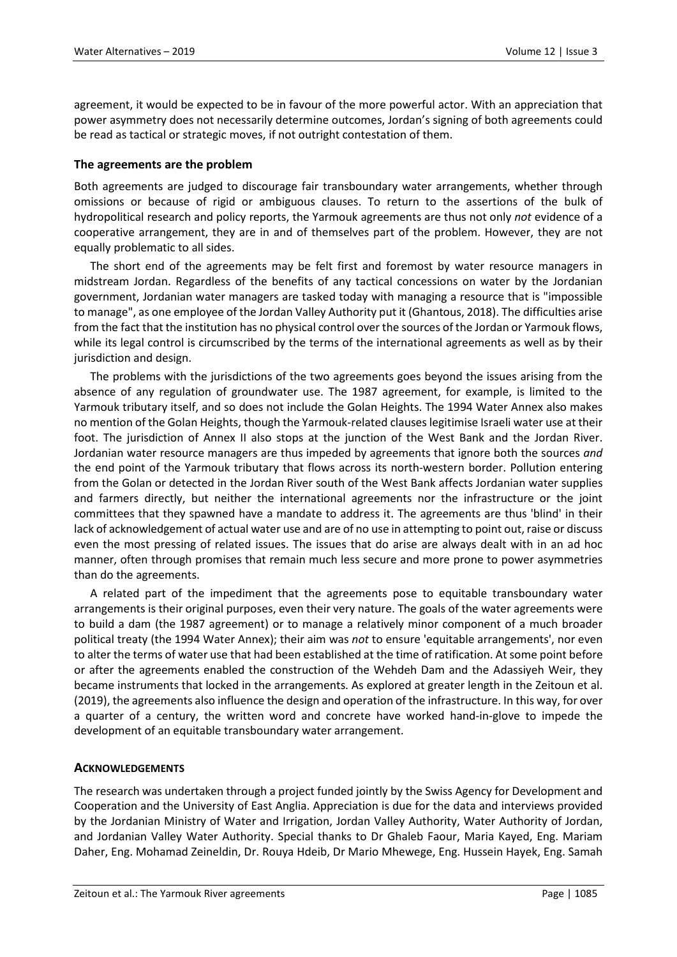agreement, it would be expected to be in favour of the more powerful actor. With an appreciation that power asymmetry does not necessarily determine outcomes, Jordan's signing of both agreements could be read as tactical or strategic moves, if not outright contestation of them.

## **The agreements are the problem**

Both agreements are judged to discourage fair transboundary water arrangements, whether through omissions or because of rigid or ambiguous clauses. To return to the assertions of the bulk of hydropolitical research and policy reports, the Yarmouk agreements are thus not only *not* evidence of a cooperative arrangement, they are in and of themselves part of the problem. However, they are not equally problematic to all sides.

The short end of the agreements may be felt first and foremost by water resource managers in midstream Jordan. Regardless of the benefits of any tactical concessions on water by the Jordanian government, Jordanian water managers are tasked today with managing a resource that is "impossible to manage", as one employee of the Jordan Valley Authority put it (Ghantous, 2018). The difficulties arise from the fact that the institution has no physical control over the sources of the Jordan or Yarmouk flows, while its legal control is circumscribed by the terms of the international agreements as well as by their jurisdiction and design.

The problems with the jurisdictions of the two agreements goes beyond the issues arising from the absence of any regulation of groundwater use. The 1987 agreement, for example, is limited to the Yarmouk tributary itself, and so does not include the Golan Heights. The 1994 Water Annex also makes no mention of the Golan Heights, though the Yarmouk-related clauses legitimise Israeli water use at their foot. The jurisdiction of Annex II also stops at the junction of the West Bank and the Jordan River. Jordanian water resource managers are thus impeded by agreements that ignore both the sources *and* the end point of the Yarmouk tributary that flows across its north-western border. Pollution entering from the Golan or detected in the Jordan River south of the West Bank affects Jordanian water supplies and farmers directly, but neither the international agreements nor the infrastructure or the joint committees that they spawned have a mandate to address it. The agreements are thus 'blind' in their lack of acknowledgement of actual water use and are of no use in attempting to point out, raise or discuss even the most pressing of related issues. The issues that do arise are always dealt with in an ad hoc manner, often through promises that remain much less secure and more prone to power asymmetries than do the agreements.

A related part of the impediment that the agreements pose to equitable transboundary water arrangements is their original purposes, even their very nature. The goals of the water agreements were to build a dam (the 1987 agreement) or to manage a relatively minor component of a much broader political treaty (the 1994 Water Annex); their aim was *not* to ensure 'equitable arrangements', nor even to alter the terms of water use that had been established at the time of ratification. At some point before or after the agreements enabled the construction of the Wehdeh Dam and the Adassiyeh Weir, they became instruments that locked in the arrangements. As explored at greater length in the Zeitoun et al. (2019), the agreements also influence the design and operation of the infrastructure. In this way, for over a quarter of a century, the written word and concrete have worked hand-in-glove to impede the development of an equitable transboundary water arrangement.

#### **ACKNOWLEDGEMENTS**

The research was undertaken through a project funded jointly by the Swiss Agency for Development and Cooperation and the University of East Anglia. Appreciation is due for the data and interviews provided by the Jordanian Ministry of Water and Irrigation, Jordan Valley Authority, Water Authority of Jordan, and Jordanian Valley Water Authority. Special thanks to Dr Ghaleb Faour, Maria Kayed, Eng. Mariam Daher, Eng. Mohamad Zeineldin, Dr. Rouya Hdeib, Dr Mario Mhewege, Eng. Hussein Hayek, Eng. Samah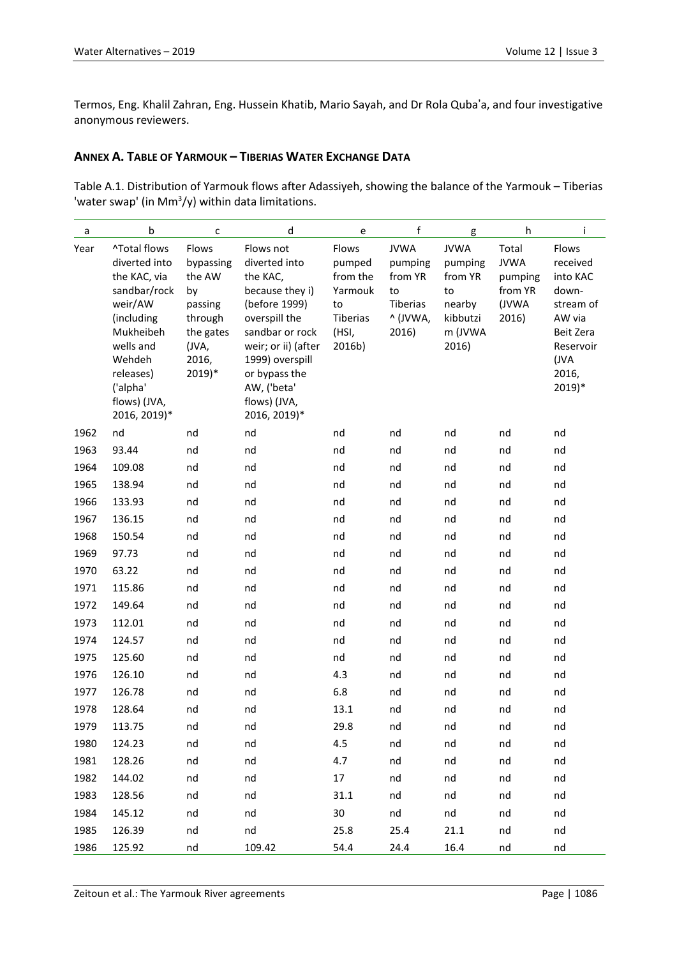Termos, Eng. Khalil Zahran, Eng. Hussein Khatib, Mario Sayah, and Dr Rola Quba'a, and four investigative anonymous reviewers.

## **ANNEX A. TABLE OF YARMOUK – TIBERIAS WATER EXCHANGE DATA**

Table A.1. Distribution of Yarmouk flows after Adassiyeh, showing the balance of the Yarmouk – Tiberias 'water swap' (in Mm<sup>3</sup>/y) within data limitations.

| a    | b                                                                                                                                                                                   | C                                                                                                   | d                                                                                                                                                                                                                        | e                                                                           | f                                                                        | g                                                                                 | h                                                            | Ť                                                                                                                    |
|------|-------------------------------------------------------------------------------------------------------------------------------------------------------------------------------------|-----------------------------------------------------------------------------------------------------|--------------------------------------------------------------------------------------------------------------------------------------------------------------------------------------------------------------------------|-----------------------------------------------------------------------------|--------------------------------------------------------------------------|-----------------------------------------------------------------------------------|--------------------------------------------------------------|----------------------------------------------------------------------------------------------------------------------|
| Year | ^Total flows<br>diverted into<br>the KAC, via<br>sandbar/rock<br>weir/AW<br>(including<br>Mukheibeh<br>wells and<br>Wehdeh<br>releases)<br>('alpha'<br>flows) (JVA,<br>2016, 2019)* | Flows<br>bypassing<br>the AW<br>by<br>passing<br>through<br>the gates<br>(JVA,<br>2016,<br>$2019)*$ | Flows not<br>diverted into<br>the KAC,<br>because they i)<br>(before 1999)<br>overspill the<br>sandbar or rock<br>weir; or ii) (after<br>1999) overspill<br>or bypass the<br>AW, ('beta'<br>flows) (JVA,<br>2016, 2019)* | Flows<br>pumped<br>from the<br>Yarmouk<br>to<br>Tiberias<br>(HSI,<br>2016b) | <b>JVWA</b><br>pumping<br>from YR<br>to<br>Tiberias<br>^ (JVWA,<br>2016) | <b>JVWA</b><br>pumping<br>from YR<br>to<br>nearby<br>kibbutzi<br>m (JVWA<br>2016) | Total<br><b>JVWA</b><br>pumping<br>from YR<br>(JVWA<br>2016) | Flows<br>received<br>into KAC<br>down-<br>stream of<br>AW via<br>Beit Zera<br>Reservoir<br>(JVA<br>2016,<br>$2019)*$ |
| 1962 | nd                                                                                                                                                                                  | nd                                                                                                  | nd                                                                                                                                                                                                                       | nd                                                                          | nd                                                                       | nd                                                                                | nd                                                           | nd                                                                                                                   |
| 1963 | 93.44                                                                                                                                                                               | nd                                                                                                  | nd                                                                                                                                                                                                                       | nd                                                                          | nd                                                                       | nd                                                                                | nd                                                           | nd                                                                                                                   |
| 1964 | 109.08                                                                                                                                                                              | nd                                                                                                  | nd                                                                                                                                                                                                                       | nd                                                                          | nd                                                                       | nd                                                                                | nd                                                           | nd                                                                                                                   |
| 1965 | 138.94                                                                                                                                                                              | nd                                                                                                  | nd                                                                                                                                                                                                                       | nd                                                                          | nd                                                                       | nd                                                                                | nd                                                           | nd                                                                                                                   |
| 1966 | 133.93                                                                                                                                                                              | nd                                                                                                  | nd                                                                                                                                                                                                                       | nd                                                                          | nd                                                                       | nd                                                                                | nd                                                           | nd                                                                                                                   |
| 1967 | 136.15                                                                                                                                                                              | nd                                                                                                  | nd                                                                                                                                                                                                                       | nd                                                                          | nd                                                                       | nd                                                                                | nd                                                           | nd                                                                                                                   |
| 1968 | 150.54                                                                                                                                                                              | nd                                                                                                  | nd                                                                                                                                                                                                                       | nd                                                                          | nd                                                                       | nd                                                                                | nd                                                           | nd                                                                                                                   |
| 1969 | 97.73                                                                                                                                                                               | nd                                                                                                  | nd                                                                                                                                                                                                                       | nd                                                                          | nd                                                                       | nd                                                                                | nd                                                           | nd                                                                                                                   |
| 1970 | 63.22                                                                                                                                                                               | nd                                                                                                  | nd                                                                                                                                                                                                                       | nd                                                                          | nd                                                                       | nd                                                                                | nd                                                           | nd                                                                                                                   |
| 1971 | 115.86                                                                                                                                                                              | nd                                                                                                  | nd                                                                                                                                                                                                                       | nd                                                                          | nd                                                                       | nd                                                                                | nd                                                           | nd                                                                                                                   |
| 1972 | 149.64                                                                                                                                                                              | nd                                                                                                  | nd                                                                                                                                                                                                                       | nd                                                                          | nd                                                                       | nd                                                                                | nd                                                           | nd                                                                                                                   |
| 1973 | 112.01                                                                                                                                                                              | nd                                                                                                  | nd                                                                                                                                                                                                                       | nd                                                                          | nd                                                                       | nd                                                                                | nd                                                           | nd                                                                                                                   |
| 1974 | 124.57                                                                                                                                                                              | nd                                                                                                  | nd                                                                                                                                                                                                                       | nd                                                                          | nd                                                                       | nd                                                                                | nd                                                           | nd                                                                                                                   |
| 1975 | 125.60                                                                                                                                                                              | nd                                                                                                  | nd                                                                                                                                                                                                                       | nd                                                                          | nd                                                                       | nd                                                                                | nd                                                           | nd                                                                                                                   |
| 1976 | 126.10                                                                                                                                                                              | nd                                                                                                  | nd                                                                                                                                                                                                                       | 4.3                                                                         | nd                                                                       | nd                                                                                | nd                                                           | nd                                                                                                                   |
| 1977 | 126.78                                                                                                                                                                              | nd                                                                                                  | nd                                                                                                                                                                                                                       | 6.8                                                                         | nd                                                                       | nd                                                                                | nd                                                           | nd                                                                                                                   |
| 1978 | 128.64                                                                                                                                                                              | nd                                                                                                  | nd                                                                                                                                                                                                                       | 13.1                                                                        | nd                                                                       | nd                                                                                | nd                                                           | nd                                                                                                                   |
| 1979 | 113.75                                                                                                                                                                              | nd                                                                                                  | nd                                                                                                                                                                                                                       | 29.8                                                                        | nd                                                                       | nd                                                                                | nd                                                           | nd                                                                                                                   |
| 1980 | 124.23                                                                                                                                                                              | nd                                                                                                  | nd                                                                                                                                                                                                                       | 4.5                                                                         | nd                                                                       | nd                                                                                | nd                                                           | nd                                                                                                                   |
| 1981 | 128.26                                                                                                                                                                              | nd                                                                                                  | nd                                                                                                                                                                                                                       | 4.7                                                                         | nd                                                                       | nd                                                                                | nd                                                           | nd                                                                                                                   |
| 1982 | 144.02                                                                                                                                                                              | nd                                                                                                  | nd                                                                                                                                                                                                                       | 17                                                                          | nd                                                                       | nd                                                                                | nd                                                           | nd                                                                                                                   |
| 1983 | 128.56                                                                                                                                                                              | nd                                                                                                  | nd                                                                                                                                                                                                                       | 31.1                                                                        | nd                                                                       | nd                                                                                | nd                                                           | nd                                                                                                                   |
| 1984 | 145.12                                                                                                                                                                              | nd                                                                                                  | nd                                                                                                                                                                                                                       | 30                                                                          | nd                                                                       | nd                                                                                | nd                                                           | nd                                                                                                                   |
| 1985 | 126.39                                                                                                                                                                              | nd                                                                                                  | nd                                                                                                                                                                                                                       | 25.8                                                                        | 25.4                                                                     | 21.1                                                                              | nd                                                           | nd                                                                                                                   |
| 1986 | 125.92                                                                                                                                                                              | nd                                                                                                  | 109.42                                                                                                                                                                                                                   | 54.4                                                                        | 24.4                                                                     | 16.4                                                                              | nd                                                           | nd                                                                                                                   |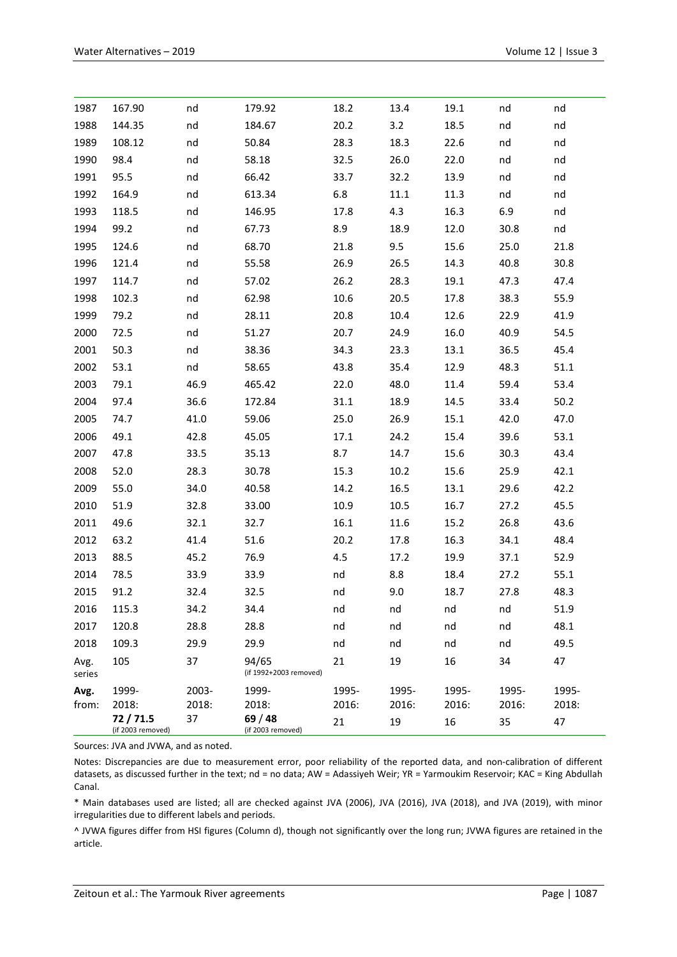| 1987           | 167.90                       | nd    | 179.92                          | 18.2         | 13.4  | 19.1      | nd    | nd    |
|----------------|------------------------------|-------|---------------------------------|--------------|-------|-----------|-------|-------|
| 1988           | 144.35                       | nd    | 184.67                          | 20.2         | 3.2   | 18.5      | nd    | nd    |
| 1989           | 108.12                       | nd    | 50.84                           | 28.3         | 18.3  | 22.6      | nd    | nd    |
| 1990           | 98.4                         | nd    | 58.18                           | 32.5         | 26.0  | 22.0      | nd    | nd    |
| 1991           | 95.5                         | nd    | 66.42                           | 33.7         | 32.2  | 13.9      | nd    | nd    |
| 1992           | 164.9                        | nd    | 613.34                          | 6.8          | 11.1  | 11.3      | nd    | nd    |
| 1993           | 118.5                        | nd    | 146.95                          | 17.8         | 4.3   | 16.3      | 6.9   | nd    |
| 1994           | 99.2                         | nd    | 67.73                           | 8.9          | 18.9  | 12.0      | 30.8  | nd    |
| 1995           | 124.6                        | nd    | 68.70                           | 21.8         | 9.5   | 15.6      | 25.0  | 21.8  |
| 1996           | 121.4                        | nd    | 55.58                           | 26.9         | 26.5  | 14.3      | 40.8  | 30.8  |
| 1997           | 114.7                        | nd    | 57.02                           | 26.2         | 28.3  | 19.1      | 47.3  | 47.4  |
| 1998           | 102.3                        | nd    | 62.98                           | 10.6         | 20.5  | 17.8      | 38.3  | 55.9  |
| 1999           | 79.2                         | nd    | 28.11                           | 20.8         | 10.4  | 12.6      | 22.9  | 41.9  |
| 2000           | 72.5                         | nd    | 51.27                           | 20.7         | 24.9  | 16.0      | 40.9  | 54.5  |
| 2001           | 50.3                         | nd    | 38.36                           | 34.3         | 23.3  | 13.1      | 36.5  | 45.4  |
| 2002           | 53.1                         | nd    | 58.65                           | 43.8         | 35.4  | 12.9      | 48.3  | 51.1  |
| 2003           | 79.1                         | 46.9  | 465.42                          | 22.0         | 48.0  | 11.4      | 59.4  | 53.4  |
| 2004           | 97.4                         | 36.6  | 172.84                          | 31.1         | 18.9  | 14.5      | 33.4  | 50.2  |
| 2005           | 74.7                         | 41.0  | 59.06                           | 25.0         | 26.9  | 15.1      | 42.0  | 47.0  |
| 2006           | 49.1                         | 42.8  | 45.05                           | 17.1         | 24.2  | 15.4      | 39.6  | 53.1  |
| 2007           | 47.8                         | 33.5  | 35.13                           | 8.7          | 14.7  | 15.6      | 30.3  | 43.4  |
| 2008           | 52.0                         | 28.3  | 30.78                           | 15.3         | 10.2  | 15.6      | 25.9  | 42.1  |
| 2009           | 55.0                         | 34.0  | 40.58                           | 14.2         | 16.5  | 13.1      | 29.6  | 42.2  |
| 2010           | 51.9                         | 32.8  | 33.00                           | 10.9         | 10.5  | 16.7      | 27.2  | 45.5  |
| 2011           | 49.6                         | 32.1  | 32.7                            | 16.1         | 11.6  | 15.2      | 26.8  | 43.6  |
| 2012           | 63.2                         | 41.4  | 51.6                            | 20.2         | 17.8  | 16.3      | 34.1  | 48.4  |
| 2013           | 88.5                         | 45.2  | 76.9                            | 4.5          | 17.2  | 19.9      | 37.1  | 52.9  |
| 2014           | 78.5                         | 33.9  | 33.9                            | $nd$ and $n$ | 8.8   | 18.4      | 27.2  | 55.1  |
| 2015           | 91.2                         | 32.4  | 32.5                            | $nd$ and $n$ | 9.0   | 18.7 27.8 |       | 48.3  |
| 2016           | 115.3                        | 34.2  | 34.4                            | nd           | nd    | nd        | nd    | 51.9  |
| 2017           | 120.8                        | 28.8  | 28.8                            | nd           | nd    | nd        | nd    | 48.1  |
| 2018           | 109.3                        | 29.9  | 29.9                            | nd           | nd    | nd        | nd    | 49.5  |
| Avg.<br>series | 105                          | 37    | 94/65<br>(if 1992+2003 removed) | 21           | 19    | 16        | 34    | 47    |
| Avg.           | 1999-                        | 2003- | 1999-                           | 1995-        | 1995- | 1995-     | 1995- | 1995- |
| from:          | 2018:                        | 2018: | 2018:                           | 2016:        | 2016: | 2016:     | 2016: | 2018: |
|                | 72/71.5<br>(if 2003 removed) | 37    | 69/48<br>(if 2003 removed)      | 21           | 19    | 16        | 35    | 47    |

Sources: JVA and JVWA, and as noted.

Notes: Discrepancies are due to measurement error, poor reliability of the reported data, and non-calibration of different datasets, as discussed further in the text; nd = no data; AW = Adassiyeh Weir; YR = Yarmoukim Reservoir; KAC = King Abdullah Canal.

\* Main databases used are listed; all are checked against JVA (2006), JVA (2016), JVA (2018), and JVA (2019), with minor irregularities due to different labels and periods.

^ JVWA figures differ from HSI figures (Column d), though not significantly over the long run; JVWA figures are retained in the article.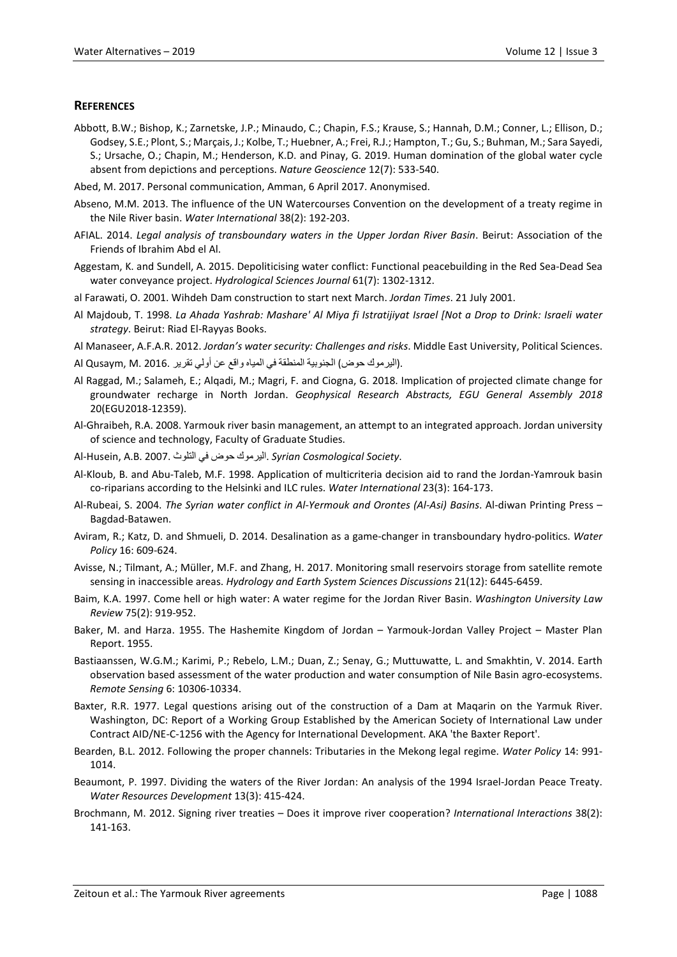#### **REFERENCES**

- Abbott, B.W.; Bishop, K.; Zarnetske, J.P.; Minaudo, C.; Chapin, F.S.; Krause, S.; Hannah, D.M.; Conner, L.; Ellison, D.; Godsey, S.E.; Plont, S.; Marçais, J.; Kolbe, T.; Huebner, A.; Frei, R.J.; Hampton, T.; Gu, S.; Buhman, M.; Sara Sayedi, S.; Ursache, O.; Chapin, M.; Henderson, K.D. and Pinay, G. 2019. Human domination of the global water cycle absent from depictions and perceptions. *Nature Geoscience* 12(7): 533-540.
- Abed, M. 2017. Personal communication, Amman, 6 April 2017. Anonymised.
- Abseno, M.M. 2013. The influence of the UN Watercourses Convention on the development of a treaty regime in the Nile River basin. *Water International* 38(2): 192-203.
- AFIAL. 2014. *Legal analysis of transboundary waters in the Upper Jordan River Basin*. Beirut: Association of the Friends of Ibrahim Abd el Al.
- Aggestam, K. and Sundell, A. 2015. Depoliticising water conflict: Functional peacebuilding in the Red Sea-Dead Sea water conveyance project. *Hydrological Sciences Journal* 61(7): 1302-1312.
- al Farawati, O. 2001. Wihdeh Dam construction to start next March. *Jordan Times*. 21 July 2001.
- Al Majdoub, T. 1998. *La Ahada Yashrab: Mashare' Al Miya fi Istratijiyat Israel [Not a Drop to Drink: Israeli water strategy*. Beirut: Riad El-Rayyas Books.
- Al Manaseer, A.F.A.R. 2012. *Jordan's water security: Challenges and risks*. Middle East University, Political Sciences.
- .(الیرموك حوض) الجنوبیة المنطقة في المیاه واقع عن أولي تقریر 2016. .M ,Qusaym Al
- Al Raggad, M.; Salameh, E.; Alqadi, M.; Magri, F. and Ciogna, G. 2018. Implication of projected climate change for groundwater recharge in North Jordan. *Geophysical Research Abstracts, EGU General Assembly 2018* 20(EGU2018-12359).
- Al-Ghraibeh, R.A. 2008. Yarmouk river basin management, an attempt to an integrated approach. Jordan university of science and technology, Faculty of Graduate Studies.
- Al-Husein, A.B. 2007. التلوث في حوض الیرموك. *Syrian Cosmological Society*.
- Al-Kloub, B. and Abu-Taleb, M.F. 1998. Application of multicriteria decision aid to rand the Jordan-Yamrouk basin co-riparians according to the Helsinki and ILC rules. *Water International* 23(3): 164-173.
- Al-Rubeai, S. 2004. *The Syrian water conflict in Al-Yermouk and Orontes (Al-Asi) Basins*. Al-diwan Printing Press Bagdad-Batawen.
- Aviram, R.; Katz, D. and Shmueli, D. 2014. Desalination as a game-changer in transboundary hydro-politics. *Water Policy* 16: 609-624.
- Avisse, N.; Tilmant, A.; Müller, M.F. and Zhang, H. 2017. Monitoring small reservoirs storage from satellite remote sensing in inaccessible areas. *Hydrology and Earth System Sciences Discussions* 21(12): 6445-6459.
- Baim, K.A. 1997. Come hell or high water: A water regime for the Jordan River Basin. *Washington University Law Review* 75(2): 919-952.
- Baker, M. and Harza. 1955. The Hashemite Kingdom of Jordan Yarmouk-Jordan Valley Project Master Plan Report. 1955.
- Bastiaanssen, W.G.M.; Karimi, P.; Rebelo, L.M.; Duan, Z.; Senay, G.; Muttuwatte, L. and Smakhtin, V. 2014. Earth observation based assessment of the water production and water consumption of Nile Basin agro-ecosystems. *Remote Sensing* 6: 10306-10334.
- Baxter, R.R. 1977. Legal questions arising out of the construction of a Dam at Maqarin on the Yarmuk River. Washington, DC: Report of a Working Group Established by the American Society of International Law under Contract AID/NE-C-1256 with the Agency for International Development. AKA 'the Baxter Report'.
- Bearden, B.L. 2012. Following the proper channels: Tributaries in the Mekong legal regime. *Water Policy* 14: 991- 1014.
- Beaumont, P. 1997. Dividing the waters of the River Jordan: An analysis of the 1994 Israel-Jordan Peace Treaty. *Water Resources Development* 13(3): 415-424.
- Brochmann, M. 2012. Signing river treaties Does it improve river cooperation? *International Interactions* 38(2): 141-163.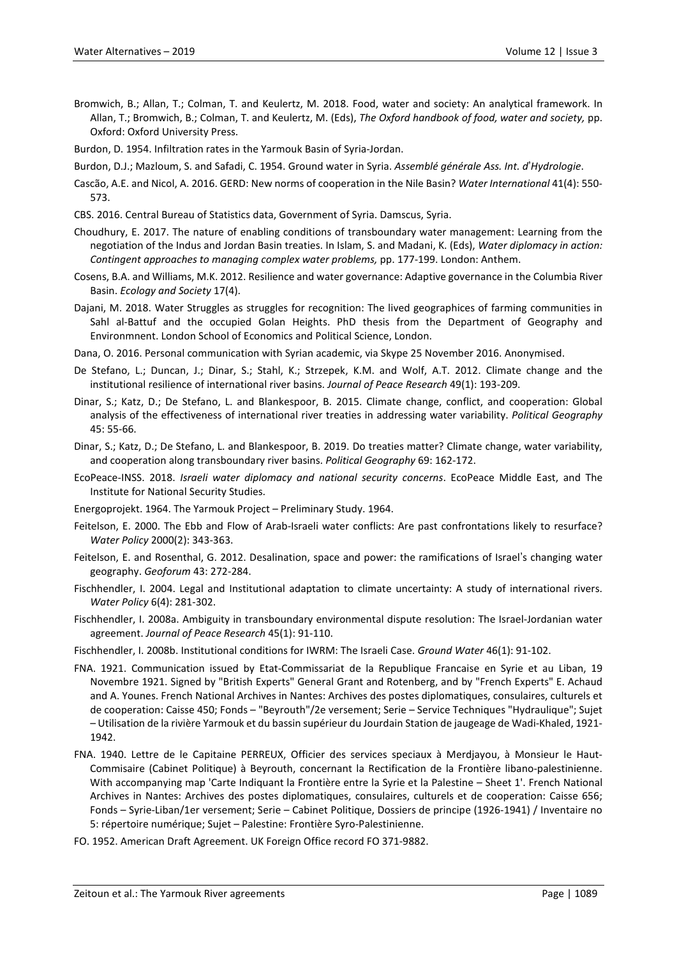- Bromwich, B.; Allan, T.; Colman, T. and Keulertz, M. 2018. Food, water and society: An analytical framework. In Allan, T.; Bromwich, B.; Colman, T. and Keulertz, M. (Eds), *The Oxford handbook of food, water and society,* pp. Oxford: Oxford University Press.
- Burdon, D. 1954. Infiltration rates in the Yarmouk Basin of Syria-Jordan.
- Burdon, D.J.; Mazloum, S. and Safadi, C. 1954. Ground water in Syria. *Assemblé générale Ass. Int. d*'*Hydrologie*.
- Cascão, A.E. and Nicol, A. 2016. GERD: New norms of cooperation in the Nile Basin? *Water International* 41(4): 550- 573.
- CBS. 2016. Central Bureau of Statistics data, Government of Syria. Damscus, Syria.
- Choudhury, E. 2017. The nature of enabling conditions of transboundary water management: Learning from the negotiation of the Indus and Jordan Basin treaties. In Islam, S. and Madani, K. (Eds), *Water diplomacy in action: Contingent approaches to managing complex water problems,* pp. 177-199. London: Anthem.
- Cosens, B.A. and Williams, M.K. 2012. Resilience and water governance: Adaptive governance in the Columbia River Basin. *Ecology and Society* 17(4).
- Dajani, M. 2018. Water Struggles as struggles for recognition: The lived geographices of farming communities in Sahl al-Battuf and the occupied Golan Heights. PhD thesis from the Department of Geography and Environmnent. London School of Economics and Political Science, London.
- Dana, O. 2016. Personal communication with Syrian academic, via Skype 25 November 2016. Anonymised.
- De Stefano, L.; Duncan, J.; Dinar, S.; Stahl, K.; Strzepek, K.M. and Wolf, A.T. 2012. Climate change and the institutional resilience of international river basins. *Journal of Peace Research* 49(1): 193-209.
- Dinar, S.; Katz, D.; De Stefano, L. and Blankespoor, B. 2015. Climate change, conflict, and cooperation: Global analysis of the effectiveness of international river treaties in addressing water variability. *Political Geography* 45: 55-66.
- Dinar, S.; Katz, D.; De Stefano, L. and Blankespoor, B. 2019. Do treaties matter? Climate change, water variability, and cooperation along transboundary river basins. *Political Geography* 69: 162-172.
- EcoPeace-INSS. 2018. *Israeli water diplomacy and national security concerns*. EcoPeace Middle East, and The Institute for National Security Studies.
- Energoprojekt. 1964. The Yarmouk Project Preliminary Study. 1964.
- Feitelson, E. 2000. The Ebb and Flow of Arab-Israeli water conflicts: Are past confrontations likely to resurface? *Water Policy* 2000(2): 343-363.
- Feitelson, E. and Rosenthal, G. 2012. Desalination, space and power: the ramifications of Israel's changing water geography. *Geoforum* 43: 272-284.
- Fischhendler, I. 2004. Legal and Institutional adaptation to climate uncertainty: A study of international rivers. *Water Policy* 6(4): 281-302.
- Fischhendler, I. 2008a. Ambiguity in transboundary environmental dispute resolution: The Israel-Jordanian water agreement. *Journal of Peace Research* 45(1): 91-110.
- Fischhendler, I. 2008b. Institutional conditions for IWRM: The Israeli Case. *Ground Water* 46(1): 91-102.
- FNA. 1921. Communication issued by Etat-Commissariat de la Republique Francaise en Syrie et au Liban, 19 Novembre 1921. Signed by "British Experts" General Grant and Rotenberg, and by "French Experts" E. Achaud and A. Younes. French National Archives in Nantes: Archives des postes diplomatiques, consulaires, culturels et de cooperation: Caisse 450; Fonds – "Beyrouth"/2e versement; Serie – Service Techniques "Hydraulique"; Sujet – Utilisation de la rivière Yarmouk et du bassin supérieur du Jourdain Station de jaugeage de Wadi-Khaled, 1921- 1942.
- FNA. 1940. Lettre de le Capitaine PERREUX, Officier des services speciaux à Merdjayou, à Monsieur le Haut-Commisaire (Cabinet Politique) à Beyrouth, concernant la Rectification de la Frontière libano-palestinienne. With accompanying map 'Carte Indiquant la Frontière entre la Syrie et la Palestine – Sheet 1'. French National Archives in Nantes: Archives des postes diplomatiques, consulaires, culturels et de cooperation: Caisse 656; Fonds – Syrie-Liban/1er versement; Serie – Cabinet Politique, Dossiers de principe (1926-1941) / Inventaire no 5: répertoire numérique; Sujet – Palestine: Frontière Syro-Palestinienne.
- FO. 1952. American Draft Agreement. UK Foreign Office record FO 371-9882.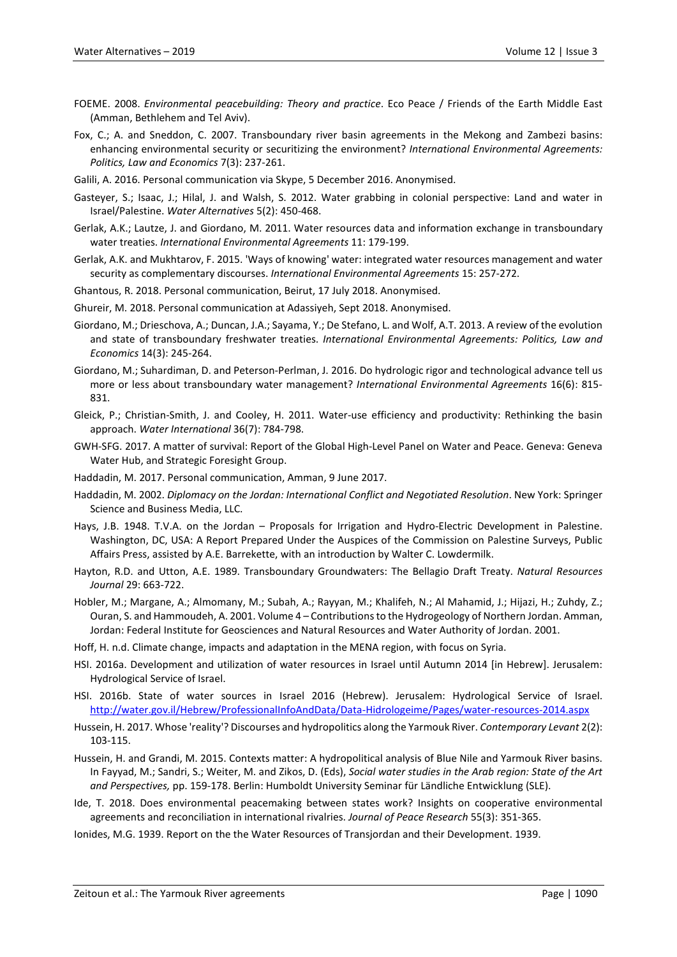- FOEME. 2008. *Environmental peacebuilding: Theory and practice*. Eco Peace / Friends of the Earth Middle East (Amman, Bethlehem and Tel Aviv).
- Fox, C.; A. and Sneddon, C. 2007. Transboundary river basin agreements in the Mekong and Zambezi basins: enhancing environmental security or securitizing the environment? *International Environmental Agreements: Politics, Law and Economics* 7(3): 237-261.
- Galili, A. 2016. Personal communication via Skype, 5 December 2016. Anonymised.
- Gasteyer, S.; Isaac, J.; Hilal, J. and Walsh, S. 2012. Water grabbing in colonial perspective: Land and water in Israel/Palestine. *Water Alternatives* 5(2): 450-468.
- Gerlak, A.K.; Lautze, J. and Giordano, M. 2011. Water resources data and information exchange in transboundary water treaties. *International Environmental Agreements* 11: 179-199.
- Gerlak, A.K. and Mukhtarov, F. 2015. 'Ways of knowing' water: integrated water resources management and water security as complementary discourses. *International Environmental Agreements* 15: 257-272.
- Ghantous, R. 2018. Personal communication, Beirut, 17 July 2018. Anonymised.
- Ghureir, M. 2018. Personal communication at Adassiyeh, Sept 2018. Anonymised.
- Giordano, M.; Drieschova, A.; Duncan, J.A.; Sayama, Y.; De Stefano, L. and Wolf, A.T. 2013. A review of the evolution and state of transboundary freshwater treaties. *International Environmental Agreements: Politics, Law and Economics* 14(3): 245-264.
- Giordano, M.; Suhardiman, D. and Peterson-Perlman, J. 2016. Do hydrologic rigor and technological advance tell us more or less about transboundary water management? *International Environmental Agreements* 16(6): 815- 831.
- Gleick, P.; Christian-Smith, J. and Cooley, H. 2011. Water-use efficiency and productivity: Rethinking the basin approach. *Water International* 36(7): 784-798.
- GWH-SFG. 2017. A matter of survival: Report of the Global High-Level Panel on Water and Peace. Geneva: Geneva Water Hub, and Strategic Foresight Group.
- Haddadin, M. 2017. Personal communication, Amman, 9 June 2017.
- Haddadin, M. 2002. *Diplomacy on the Jordan: International Conflict and Negotiated Resolution*. New York: Springer Science and Business Media, LLC.
- Hays, J.B. 1948. T.V.A. on the Jordan Proposals for Irrigation and Hydro-Electric Development in Palestine. Washington, DC, USA: A Report Prepared Under the Auspices of the Commission on Palestine Surveys, Public Affairs Press, assisted by A.E. Barrekette, with an introduction by Walter C. Lowdermilk.
- Hayton, R.D. and Utton, A.E. 1989. Transboundary Groundwaters: The Bellagio Draft Treaty. *Natural Resources Journal* 29: 663-722.
- Hobler, M.; Margane, A.; Almomany, M.; Subah, A.; Rayyan, M.; Khalifeh, N.; Al Mahamid, J.; Hijazi, H.; Zuhdy, Z.; Ouran, S. and Hammoudeh, A. 2001. Volume 4 – Contributions to the Hydrogeology of Northern Jordan. Amman, Jordan: Federal Institute for Geosciences and Natural Resources and Water Authority of Jordan. 2001.
- Hoff, H. n.d. Climate change, impacts and adaptation in the MENA region, with focus on Syria.
- HSI. 2016a. Development and utilization of water resources in Israel until Autumn 2014 [in Hebrew]. Jerusalem: Hydrological Service of Israel.
- HSI. 2016b. State of water sources in Israel 2016 (Hebrew). Jerusalem: Hydrological Service of Israel. <http://water.gov.il/Hebrew/ProfessionalInfoAndData/Data-Hidrologeime/Pages/water-resources-2014.aspx>
- Hussein, H. 2017. Whose 'reality'? Discourses and hydropolitics along the Yarmouk River. *Contemporary Levant* 2(2): 103-115.
- Hussein, H. and Grandi, M. 2015. Contexts matter: A hydropolitical analysis of Blue Nile and Yarmouk River basins. In Fayyad, M.; Sandri, S.; Weiter, M. and Zikos, D. (Eds), *Social water studies in the Arab region: State of the Art and Perspectives,* pp. 159-178. Berlin: Humboldt University Seminar für Ländliche Entwicklung (SLE).
- Ide, T. 2018. Does environmental peacemaking between states work? Insights on cooperative environmental agreements and reconciliation in international rivalries. *Journal of Peace Research* 55(3): 351-365.
- Ionides, M.G. 1939. Report on the the Water Resources of Transjordan and their Development. 1939.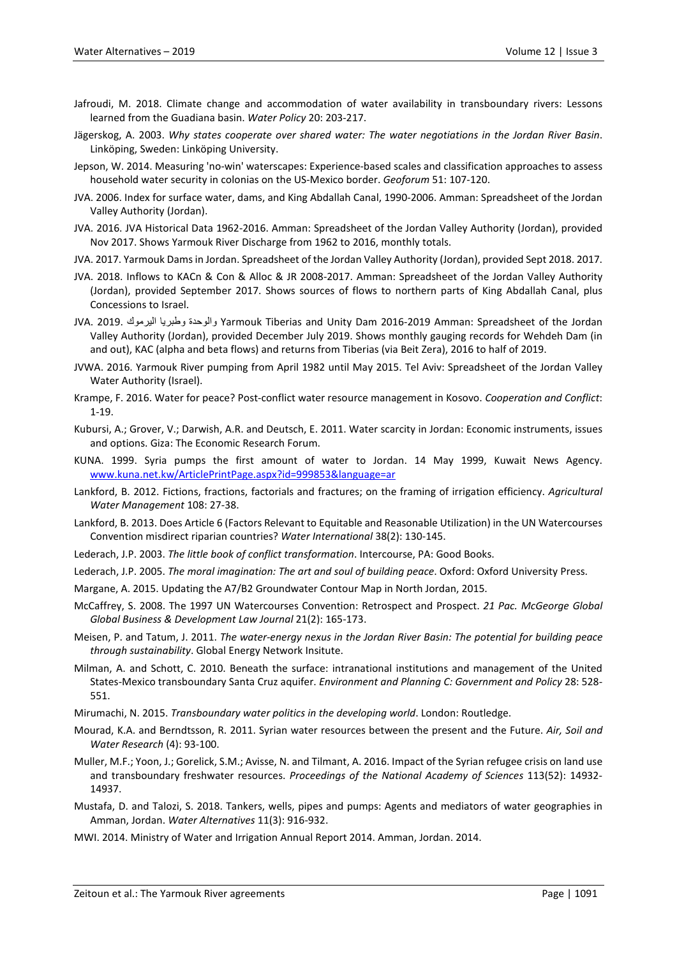- Jafroudi, M. 2018. Climate change and accommodation of water availability in transboundary rivers: Lessons learned from the Guadiana basin. *Water Policy* 20: 203-217.
- Jägerskog, A. 2003. *Why states cooperate over shared water: The water negotiations in the Jordan River Basin*. Linköping, Sweden: Linköping University.
- Jepson, W. 2014. Measuring 'no-win' waterscapes: Experience-based scales and classification approaches to assess household water security in colonias on the US-Mexico border. *Geoforum* 51: 107-120.
- JVA. 2006. Index for surface water, dams, and King Abdallah Canal, 1990-2006. Amman: Spreadsheet of the Jordan Valley Authority (Jordan).
- JVA. 2016. JVA Historical Data 1962-2016. Amman: Spreadsheet of the Jordan Valley Authority (Jordan), provided Nov 2017. Shows Yarmouk River Discharge from 1962 to 2016, monthly totals.
- JVA. 2017. Yarmouk Dams in Jordan. Spreadsheet of the Jordan Valley Authority (Jordan), provided Sept 2018. 2017.
- JVA. 2018. Inflows to KACn & Con & Alloc & JR 2008-2017. Amman: Spreadsheet of the Jordan Valley Authority (Jordan), provided September 2017. Shows sources of flows to northern parts of King Abdallah Canal, plus Concessions to Israel.
- JVA. 2019. الیرموك وطبریا والوحدة Yarmouk Tiberias and Unity Dam 2016-2019 Amman: Spreadsheet of the Jordan Valley Authority (Jordan), provided December July 2019. Shows monthly gauging records for Wehdeh Dam (in and out), KAC (alpha and beta flows) and returns from Tiberias (via Beit Zera), 2016 to half of 2019.
- JVWA. 2016. Yarmouk River pumping from April 1982 until May 2015. Tel Aviv: Spreadsheet of the Jordan Valley Water Authority (Israel).
- Krampe, F. 2016. Water for peace? Post-conflict water resource management in Kosovo. *Cooperation and Conflict*: 1-19.
- Kubursi, A.; Grover, V.; Darwish, A.R. and Deutsch, E. 2011. Water scarcity in Jordan: Economic instruments, issues and options. Giza: The Economic Research Forum.
- KUNA. 1999. Syria pumps the first amount of water to Jordan. 14 May 1999, Kuwait News Agency. [www.kuna.net.kw/ArticlePrintPage.aspx?id=999853&language=ar](http://www.kuna.net.kw/ArticlePrintPage.aspx?id=999853&language=ar)
- Lankford, B. 2012. Fictions, fractions, factorials and fractures; on the framing of irrigation efficiency. *Agricultural Water Management* 108: 27-38.
- Lankford, B. 2013. Does Article 6 (Factors Relevant to Equitable and Reasonable Utilization) in the UN Watercourses Convention misdirect riparian countries? *Water International* 38(2): 130-145.
- Lederach, J.P. 2003. *The little book of conflict transformation*. Intercourse, PA: Good Books.
- Lederach, J.P. 2005. *The moral imagination: The art and soul of building peace*. Oxford: Oxford University Press.
- Margane, A. 2015. Updating the A7/B2 Groundwater Contour Map in North Jordan, 2015.
- McCaffrey, S. 2008. The 1997 UN Watercourses Convention: Retrospect and Prospect. *21 Pac. McGeorge Global Global Business & Development Law Journal* 21(2): 165-173.
- Meisen, P. and Tatum, J. 2011. *The water-energy nexus in the Jordan River Basin: The potential for building peace through sustainability*. Global Energy Network Insitute.
- Milman, A. and Schott, C. 2010. Beneath the surface: intranational institutions and management of the United States-Mexico transboundary Santa Cruz aquifer. *Environment and Planning C: Government and Policy* 28: 528- 551.
- Mirumachi, N. 2015. *Transboundary water politics in the developing world*. London: Routledge.
- Mourad, K.A. and Berndtsson, R. 2011. Syrian water resources between the present and the Future. *Air, Soil and Water Research* (4): 93-100.
- Muller, M.F.; Yoon, J.; Gorelick, S.M.; Avisse, N. and Tilmant, A. 2016. Impact of the Syrian refugee crisis on land use and transboundary freshwater resources. *Proceedings of the National Academy of Sciences* 113(52): 14932- 14937.
- Mustafa, D. and Talozi, S. 2018. Tankers, wells, pipes and pumps: Agents and mediators of water geographies in Amman, Jordan. *Water Alternatives* 11(3): 916-932.
- MWI. 2014. Ministry of Water and Irrigation Annual Report 2014. Amman, Jordan. 2014.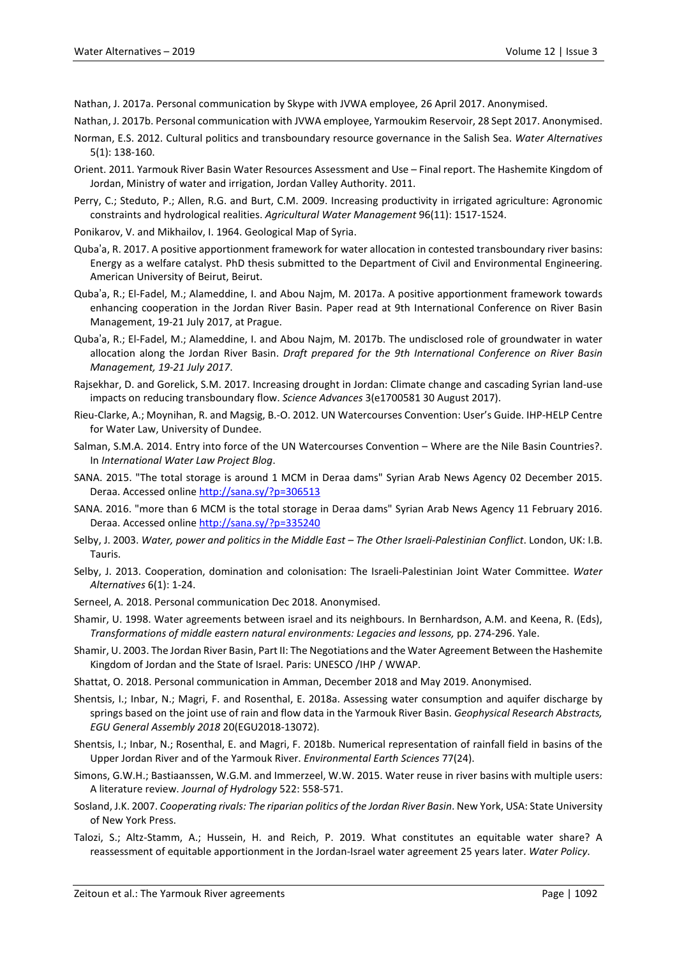Nathan, J. 2017a. Personal communication by Skype with JVWA employee, 26 April 2017. Anonymised.

- Nathan, J. 2017b. Personal communication with JVWA employee, Yarmoukim Reservoir, 28 Sept 2017. Anonymised.
- Norman, E.S. 2012. Cultural politics and transboundary resource governance in the Salish Sea. *Water Alternatives* 5(1): 138-160.
- Orient. 2011. Yarmouk River Basin Water Resources Assessment and Use Final report. The Hashemite Kingdom of Jordan, Ministry of water and irrigation, Jordan Valley Authority. 2011.
- Perry, C.; Steduto, P.; Allen, R.G. and Burt, C.M. 2009. Increasing productivity in irrigated agriculture: Agronomic constraints and hydrological realities. *Agricultural Water Management* 96(11): 1517-1524.
- Ponikarov, V. and Mikhailov, I. 1964. Geological Map of Syria.
- Quba'a, R. 2017. A positive apportionment framework for water allocation in contested transboundary river basins: Energy as a welfare catalyst. PhD thesis submitted to the Department of Civil and Environmental Engineering. American University of Beirut, Beirut.
- Quba'a, R.; El-Fadel, M.; Alameddine, I. and Abou Najm, M. 2017a. A positive apportionment framework towards enhancing cooperation in the Jordan River Basin. Paper read at 9th International Conference on River Basin Management, 19-21 July 2017, at Prague.
- Quba'a, R.; El-Fadel, M.; Alameddine, I. and Abou Najm, M. 2017b. The undisclosed role of groundwater in water allocation along the Jordan River Basin. *Draft prepared for the 9th International Conference on River Basin Management, 19-21 July 2017*.
- Rajsekhar, D. and Gorelick, S.M. 2017. Increasing drought in Jordan: Climate change and cascading Syrian land-use impacts on reducing transboundary flow. *Science Advances* 3(e1700581 30 August 2017).
- Rieu-Clarke, A.; Moynihan, R. and Magsig, B.-O. 2012. UN Watercourses Convention: User's Guide. IHP-HELP Centre for Water Law, University of Dundee.
- Salman, S.M.A. 2014. Entry into force of the UN Watercourses Convention Where are the Nile Basin Countries?. In *International Water Law Project Blog*.
- SANA. 2015. "The total storage is around 1 MCM in Deraa dams" Syrian Arab News Agency 02 December 2015. Deraa. Accessed online [http://sana.sy/?p=306513](https://eur01.safelinks.protection.outlook.com/?url=https%3A%2F%2Fsana.sy%2F%3Fp%3D306513&data=02%7C01%7CM.Zeitoun%40uea.ac.uk%7C003ec4003d0a460602b808d73db12cf4%7Cc65f8795ba3d43518a070865e5d8f090%7C0%7C0%7C637045703480846305&sdata=7x7d42ET2a51UdWpL1QkCtL7M3TW224jbEuSP03%2B4cc%3D&reserved=0)
- SANA. 2016. "more than 6 MCM is the total storage in Deraa dams" Syrian Arab News Agency 11 February 2016. Deraa. Accessed online [http://sana.sy/?p=335240](https://eur01.safelinks.protection.outlook.com/?url=http%3A%2F%2Fsana.sy%2F%3Fp%3D335240&data=02%7C01%7CM.Zeitoun%40uea.ac.uk%7C003ec4003d0a460602b808d73db12cf4%7Cc65f8795ba3d43518a070865e5d8f090%7C0%7C0%7C637045703480856299&sdata=dlotVQdAncMt0zuwquXOxwqYv1tYlRxnbbRCFxV1Ebc%3D&reserved=0)
- Selby, J. 2003. *Water, power and politics in the Middle East – The Other Israeli-Palestinian Conflict*. London, UK: I.B. Tauris.
- Selby, J. 2013. Cooperation, domination and colonisation: The Israeli-Palestinian Joint Water Committee. *Water Alternatives* 6(1): 1-24.
- Serneel, A. 2018. Personal communication Dec 2018. Anonymised.
- Shamir, U. 1998. Water agreements between israel and its neighbours. In Bernhardson, A.M. and Keena, R. (Eds), *Transformations of middle eastern natural environments: Legacies and lessons,* pp. 274-296. Yale.
- Shamir, U. 2003. The Jordan River Basin, Part II: The Negotiations and the Water Agreement Between the Hashemite Kingdom of Jordan and the State of Israel. Paris: UNESCO /IHP / WWAP.
- Shattat, O. 2018. Personal communication in Amman, December 2018 and May 2019. Anonymised.
- Shentsis, I.; Inbar, N.; Magri, F. and Rosenthal, E. 2018a. Assessing water consumption and aquifer discharge by springs based on the joint use of rain and flow data in the Yarmouk River Basin. *Geophysical Research Abstracts, EGU General Assembly 2018* 20(EGU2018-13072).
- Shentsis, I.; Inbar, N.; Rosenthal, E. and Magri, F. 2018b. Numerical representation of rainfall field in basins of the Upper Jordan River and of the Yarmouk River. *Environmental Earth Sciences* 77(24).
- Simons, G.W.H.; Bastiaanssen, W.G.M. and Immerzeel, W.W. 2015. Water reuse in river basins with multiple users: A literature review. *Journal of Hydrology* 522: 558-571.
- Sosland, J.K. 2007. *Cooperating rivals: The riparian politics of the Jordan River Basin*. New York, USA: State University of New York Press.
- Talozi, S.; Altz-Stamm, A.; Hussein, H. and Reich, P. 2019. What constitutes an equitable water share? A reassessment of equitable apportionment in the Jordan-Israel water agreement 25 years later. *Water Policy*.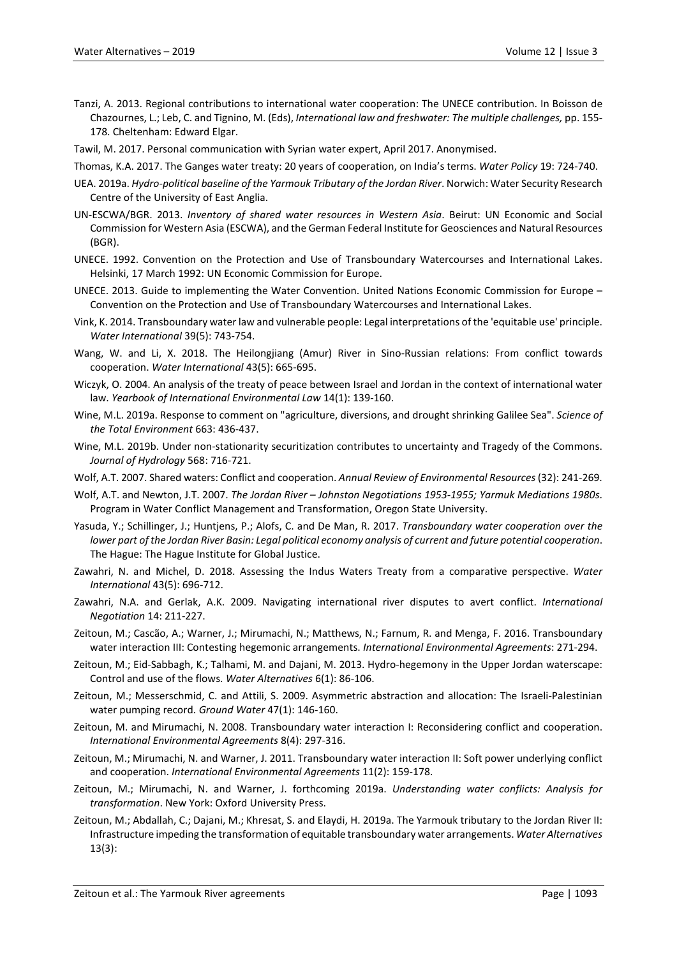- Tanzi, A. 2013. Regional contributions to international water cooperation: The UNECE contribution. In Boisson de Chazournes, L.; Leb, C. and Tignino, M. (Eds), *International law and freshwater: The multiple challenges,* pp. 155- 178. Cheltenham: Edward Elgar.
- Tawil, M. 2017. Personal communication with Syrian water expert, April 2017. Anonymised.
- Thomas, K.A. 2017. The Ganges water treaty: 20 years of cooperation, on India's terms. *Water Policy* 19: 724-740.
- UEA. 2019a. *Hydro-political baseline of the Yarmouk Tributary of the Jordan River*. Norwich: Water Security Research Centre of the University of East Anglia.
- UN-ESCWA/BGR. 2013. *Inventory of shared water resources in Western Asia*. Beirut: UN Economic and Social Commission for Western Asia (ESCWA), and the German Federal Institute for Geosciences and Natural Resources (BGR).
- UNECE. 1992. Convention on the Protection and Use of Transboundary Watercourses and International Lakes. Helsinki, 17 March 1992: UN Economic Commission for Europe.
- UNECE. 2013. Guide to implementing the Water Convention. United Nations Economic Commission for Europe Convention on the Protection and Use of Transboundary Watercourses and International Lakes.
- Vink, K. 2014. Transboundary water law and vulnerable people: Legal interpretations of the 'equitable use' principle. *Water International* 39(5): 743-754.
- Wang, W. and Li, X. 2018. The Heilongjiang (Amur) River in Sino-Russian relations: From conflict towards cooperation. *Water International* 43(5): 665-695.
- Wiczyk, O. 2004. An analysis of the treaty of peace between Israel and Jordan in the context of international water law. *Yearbook of International Environmental Law* 14(1): 139-160.
- Wine, M.L. 2019a. Response to comment on "agriculture, diversions, and drought shrinking Galilee Sea". *Science of the Total Environment* 663: 436-437.
- Wine, M.L. 2019b. Under non-stationarity securitization contributes to uncertainty and Tragedy of the Commons. *Journal of Hydrology* 568: 716-721.
- Wolf, A.T. 2007. Shared waters: Conflict and cooperation. *Annual Review of Environmental Resources*(32): 241-269.
- Wolf, A.T. and Newton, J.T. 2007. *The Jordan River – Johnston Negotiations 1953-1955; Yarmuk Mediations 1980s*. Program in Water Conflict Management and Transformation, Oregon State University.
- Yasuda, Y.; Schillinger, J.; Huntjens, P.; Alofs, C. and De Man, R. 2017. *Transboundary water cooperation over the lower part of the Jordan River Basin: Legal political economy analysis of current and future potential cooperation*. The Hague: The Hague Institute for Global Justice.
- Zawahri, N. and Michel, D. 2018. Assessing the Indus Waters Treaty from a comparative perspective. *Water International* 43(5): 696-712.
- Zawahri, N.A. and Gerlak, A.K. 2009. Navigating international river disputes to avert conflict. *International Negotiation* 14: 211-227.
- Zeitoun, M.; Cascão, A.; Warner, J.; Mirumachi, N.; Matthews, N.; Farnum, R. and Menga, F. 2016. Transboundary water interaction III: Contesting hegemonic arrangements. *International Environmental Agreements*: 271-294.
- Zeitoun, M.; Eid-Sabbagh, K.; Talhami, M. and Dajani, M. 2013. Hydro-hegemony in the Upper Jordan waterscape: Control and use of the flows. *Water Alternatives* 6(1): 86-106.
- Zeitoun, M.; Messerschmid, C. and Attili, S. 2009. Asymmetric abstraction and allocation: The Israeli-Palestinian water pumping record. *Ground Water* 47(1): 146-160.
- Zeitoun, M. and Mirumachi, N. 2008. Transboundary water interaction I: Reconsidering conflict and cooperation. *International Environmental Agreements* 8(4): 297-316.
- Zeitoun, M.; Mirumachi, N. and Warner, J. 2011. Transboundary water interaction II: Soft power underlying conflict and cooperation. *International Environmental Agreements* 11(2): 159-178.
- Zeitoun, M.; Mirumachi, N. and Warner, J. forthcoming 2019a. *Understanding water conflicts: Analysis for transformation*. New York: Oxford University Press.
- Zeitoun, M.; Abdallah, C.; Dajani, M.; Khresat, S. and Elaydi, H. 2019a. The Yarmouk tributary to the Jordan River II: Infrastructure impeding the transformation of equitable transboundary water arrangements. *Water Alternatives* 13(3):